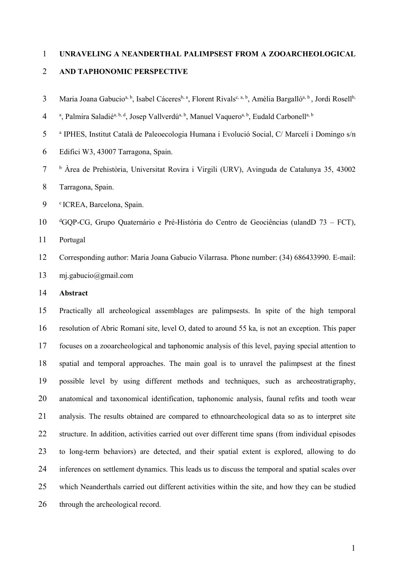### UNRAVELING A NEANDERTHAL PALIMPSEST FROM A ZOOARCHEOLOGICAL

#### AND TAPHONOMIC PERSPECTIVE

- 3 Maria Joana Gabucio<sup>a, b</sup>, Isabel Cáceres<sup>b, a</sup>, Florent Rivals<sup>c, a, b</sup>, Amèlia Bargalló<sup>a, b</sup>, Jordi Rosell<sup>b,</sup>
- 4 a, Palmira Saladié<sup>a, b, d</sup>, Josep Vallverdú<sup>a, b</sup>, Manuel Vaquero<sup>a, b</sup>, Eudald Carbonell<sup>a, b</sup>
- <sup>a</sup> IPHES, Institut Català de Paleoecologia Humana i Evolució Social, C/ Marcelí i Domingo s/n
- Edifici W3, 43007 Tarragona, Spain.
- <sup>b</sup> Àrea de Prehistòria, Universitat Rovira i Virgili (URV), Avinguda de Catalunya 35, 43002 Tarragona, Spain.

9 CREA, Barcelona, Spain.

<sup>d</sup>GQP-CG, Grupo Quaternário e Pré-História do Centro de Geociências (ulandD 73 – FCT),

Portugal

- Corresponding author: Maria Joana Gabucio Vilarrasa. Phone number: (34) 686433990. E-mail: mj.gabucio@gmail.com
- Abstract

Practically all archeological assemblages are palimpsests. In spite of the high temporal resolution of Abric Romaní site, level O, dated to around 55 ka, is not an exception. This paper focuses on a zooarcheological and taphonomic analysis of this level, paying special attention to spatial and temporal approaches. The main goal is to unravel the palimpsest at the finest possible level by using different methods and techniques, such as archeostratigraphy, anatomical and taxonomical identification, taphonomic analysis, faunal refits and tooth wear analysis. The results obtained are compared to ethnoarcheological data so as to interpret site structure. In addition, activities carried out over different time spans (from individual episodes to long-term behaviors) are detected, and their spatial extent is explored, allowing to do inferences on settlement dynamics. This leads us to discuss the temporal and spatial scales over which Neanderthals carried out different activities within the site, and how they can be studied through the archeological record.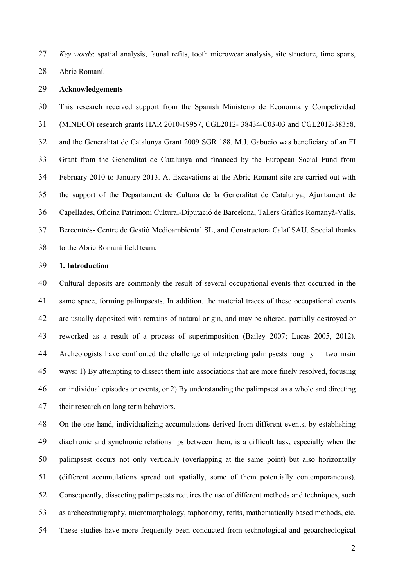Key words: spatial analysis, faunal refits, tooth microwear analysis, site structure, time spans,

Abric Romaní.

### Acknowledgements

This research received support from the Spanish Ministerio de Economia y Competividad (MINECO) research grants HAR 2010-19957, CGL2012- 38434-C03-03 and CGL2012-38358, and the Generalitat de Catalunya Grant 2009 SGR 188. M.J. Gabucio was beneficiary of an FI Grant from the Generalitat de Catalunya and financed by the European Social Fund from February 2010 to January 2013. A. Excavations at the Abric Romaní site are carried out with the support of the Departament de Cultura de la Generalitat de Catalunya, Ajuntament de Capellades, Oficina Patrimoni Cultural-Diputació de Barcelona, Tallers Gràfics Romanyà-Valls, Bercontrés- Centre de Gestió Medioambiental SL, and Constructora Calaf SAU. Special thanks to the Abric Romaní field team.

### 1. Introduction

Cultural deposits are commonly the result of several occupational events that occurred in the same space, forming palimpsests. In addition, the material traces of these occupational events are usually deposited with remains of natural origin, and may be altered, partially destroyed or reworked as a result of a process of superimposition (Bailey 2007; Lucas 2005, 2012). Archeologists have confronted the challenge of interpreting palimpsests roughly in two main ways: 1) By attempting to dissect them into associations that are more finely resolved, focusing on individual episodes or events, or 2) By understanding the palimpsest as a whole and directing their research on long term behaviors.

On the one hand, individualizing accumulations derived from different events, by establishing diachronic and synchronic relationships between them, is a difficult task, especially when the palimpsest occurs not only vertically (overlapping at the same point) but also horizontally (different accumulations spread out spatially, some of them potentially contemporaneous). Consequently, dissecting palimpsests requires the use of different methods and techniques, such as archeostratigraphy, micromorphology, taphonomy, refits, mathematically based methods, etc. These studies have more frequently been conducted from technological and geoarcheological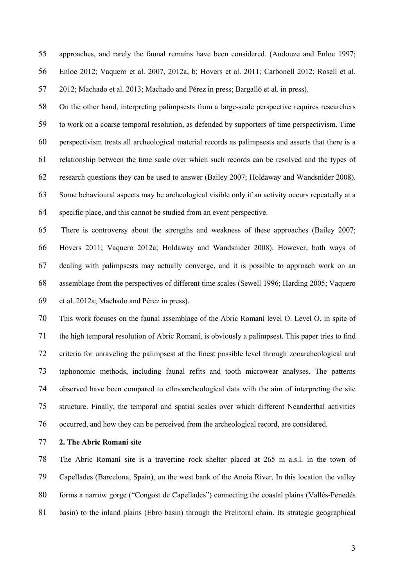approaches, and rarely the faunal remains have been considered. (Audouze and Enloe 1997; Enloe 2012; Vaquero et al. 2007, 2012a, b; Hovers et al. 2011; Carbonell 2012; Rosell et al. 2012; Machado et al. 2013; Machado and Pérez in press; Bargalló et al. in press).

On the other hand, interpreting palimpsests from a large-scale perspective requires researchers to work on a coarse temporal resolution, as defended by supporters of time perspectivism. Time perspectivism treats all archeological material records as palimpsests and asserts that there is a relationship between the time scale over which such records can be resolved and the types of research questions they can be used to answer (Bailey 2007; Holdaway and Wandsnider 2008). Some behavioural aspects may be archeological visible only if an activity occurs repeatedly at a specific place, and this cannot be studied from an event perspective.

There is controversy about the strengths and weakness of these approaches (Bailey 2007; Hovers 2011; Vaquero 2012a; Holdaway and Wandsnider 2008). However, both ways of dealing with palimpsests may actually converge, and it is possible to approach work on an assemblage from the perspectives of different time scales (Sewell 1996; Harding 2005; Vaquero et al. 2012a; Machado and Pérez in press).

This work focuses on the faunal assemblage of the Abric Romaní level O. Level O, in spite of the high temporal resolution of Abric Romaní, is obviously a palimpsest. This paper tries to find criteria for unraveling the palimpsest at the finest possible level through zooarcheological and taphonomic methods, including faunal refits and tooth microwear analyses. The patterns observed have been compared to ethnoarcheological data with the aim of interpreting the site structure. Finally, the temporal and spatial scales over which different Neanderthal activities occurred, and how they can be perceived from the archeological record, are considered.

2. The Abric Romaní site

The Abric Romaní site is a travertine rock shelter placed at 265 m a.s.l. in the town of Capellades (Barcelona, Spain), on the west bank of the Anoia River. In this location the valley forms a narrow gorge ("Congost de Capellades") connecting the coastal plains (Vallés-Penedés basin) to the inland plains (Ebro basin) through the Prelitoral chain. Its strategic geographical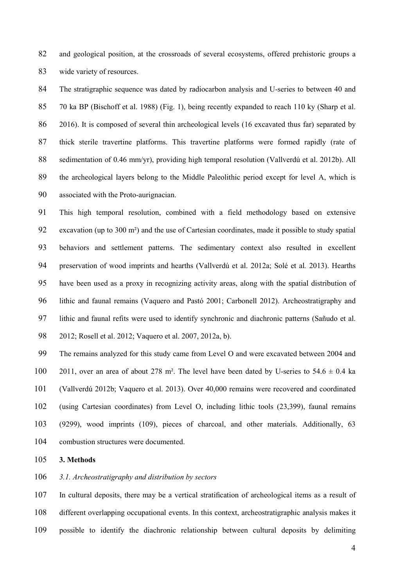and geological position, at the crossroads of several ecosystems, offered prehistoric groups a wide variety of resources.

The stratigraphic sequence was dated by radiocarbon analysis and U-series to between 40 and 70 ka BP (Bischoff et al. 1988) (Fig. 1), being recently expanded to reach 110 ky (Sharp et al. 2016). It is composed of several thin archeological levels (16 excavated thus far) separated by thick sterile travertine platforms. This travertine platforms were formed rapidly (rate of sedimentation of 0.46 mm/yr), providing high temporal resolution (Vallverdú et al. 2012b). All the archeological layers belong to the Middle Paleolithic period except for level A, which is associated with the Proto-aurignacian.

This high temporal resolution, combined with a field methodology based on extensive excavation (up to 300 m²) and the use of Cartesian coordinates, made it possible to study spatial behaviors and settlement patterns. The sedimentary context also resulted in excellent preservation of wood imprints and hearths (Vallverdú et al. 2012a; Solé et al. 2013). Hearths have been used as a proxy in recognizing activity areas, along with the spatial distribution of lithic and faunal remains (Vaquero and Pastó 2001; Carbonell 2012). Archeostratigraphy and lithic and faunal refits were used to identify synchronic and diachronic patterns (Sañudo et al. 2012; Rosell et al. 2012; Vaquero et al. 2007, 2012a, b).

The remains analyzed for this study came from Level O and were excavated between 2004 and 100 2011, over an area of about 278 m<sup>2</sup>. The level have been dated by U-series to  $54.6 \pm 0.4$  ka (Vallverdú 2012b; Vaquero et al. 2013). Over 40,000 remains were recovered and coordinated (using Cartesian coordinates) from Level O, including lithic tools (23,399), faunal remains (9299), wood imprints (109), pieces of charcoal, and other materials. Additionally, 63 combustion structures were documented.

3. Methods

3.1. Archeostratigraphy and distribution by sectors

In cultural deposits, there may be a vertical stratification of archeological items as a result of different overlapping occupational events. In this context, archeostratigraphic analysis makes it possible to identify the diachronic relationship between cultural deposits by delimiting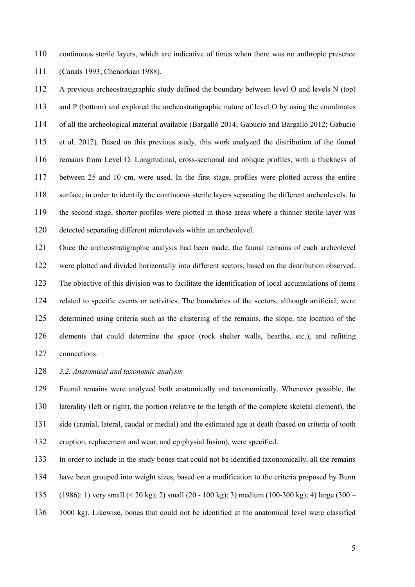continuous sterile layers, which are indicative of times when there was no anthropic presence (Canals 1993; Chenorkian 1988).

A previous archeostratigraphic study defined the boundary between level O and levels N (top) and P (bottom) and explored the archeostratigraphic nature of level O by using the coordinates of all the archeological material available (Bargalló 2014; Gabucio and Bargalló 2012; Gabucio et al. 2012). Based on this previous study, this work analyzed the distribution of the faunal remains from Level O. Longitudinal, cross-sectional and oblique profiles, with a thickness of between 25 and 10 cm, were used. In the first stage, profiles were plotted across the entire surface, in order to identify the continuous sterile layers separating the different archeolevels. In the second stage, shorter profiles were plotted in those areas where a thinner sterile layer was detected separating different microlevels within an archeolevel.

Once the archeostratigraphic analysis had been made, the faunal remains of each archeolevel were plotted and divided horizontally into different sectors, based on the distribution observed. The objective of this division was to facilitate the identification of local accumulations of items related to specific events or activities. The boundaries of the sectors, although artificial, were determined using criteria such as the clustering of the remains, the slope, the location of the elements that could determine the space (rock shelter walls, hearths, etc.), and refitting connections.

128 3.2. Anatomical and taxonomic analysis

Faunal remains were analyzed both anatomically and taxonomically. Whenever possible, the laterality (left or right), the portion (relative to the length of the complete skeletal element), the side (cranial, lateral, caudal or medial) and the estimated age at death (based on criteria of tooth eruption, replacement and wear, and epiphysial fusion), were specified.

In order to include in the study bones that could not be identified taxonomically, all the remains have been grouped into weight sizes, based on a modification to the criteria proposed by Bunn (1986): 1) very small (< 20 kg); 2) small (20 - 100 kg); 3) medium (100-300 kg); 4) large (300 – 1000 kg). Likewise, bones that could not be identified at the anatomical level were classified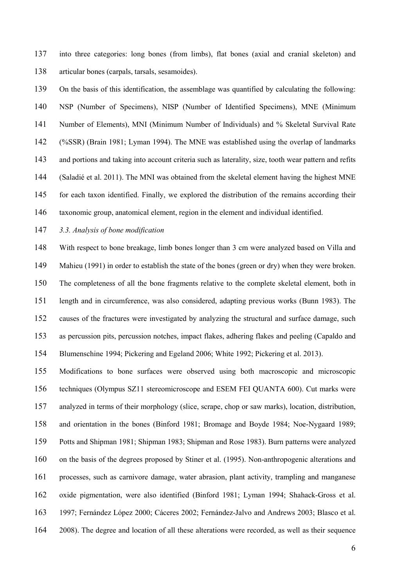into three categories: long bones (from limbs), flat bones (axial and cranial skeleton) and articular bones (carpals, tarsals, sesamoides).

On the basis of this identification, the assemblage was quantified by calculating the following: NSP (Number of Specimens), NISP (Number of Identified Specimens), MNE (Minimum Number of Elements), MNI (Minimum Number of Individuals) and % Skeletal Survival Rate (%SSR) (Brain 1981; Lyman 1994). The MNE was established using the overlap of landmarks 143 and portions and taking into account criteria such as laterality, size, tooth wear pattern and refits (Saladié et al. 2011). The MNI was obtained from the skeletal element having the highest MNE for each taxon identified. Finally, we explored the distribution of the remains according their taxonomic group, anatomical element, region in the element and individual identified.

3.3. Analysis of bone modification

With respect to bone breakage, limb bones longer than 3 cm were analyzed based on Villa and Mahieu (1991) in order to establish the state of the bones (green or dry) when they were broken. The completeness of all the bone fragments relative to the complete skeletal element, both in length and in circumference, was also considered, adapting previous works (Bunn 1983). The causes of the fractures were investigated by analyzing the structural and surface damage, such as percussion pits, percussion notches, impact flakes, adhering flakes and peeling (Capaldo and Blumenschine 1994; Pickering and Egeland 2006; White 1992; Pickering et al. 2013).

Modifications to bone surfaces were observed using both macroscopic and microscopic techniques (Olympus SZ11 stereomicroscope and ESEM FEI QUANTA 600). Cut marks were analyzed in terms of their morphology (slice, scrape, chop or saw marks), location, distribution, and orientation in the bones (Binford 1981; Bromage and Boyde 1984; Noe-Nygaard 1989; Potts and Shipman 1981; Shipman 1983; Shipman and Rose 1983). Burn patterns were analyzed on the basis of the degrees proposed by Stiner et al. (1995). Non-anthropogenic alterations and processes, such as carnivore damage, water abrasion, plant activity, trampling and manganese oxide pigmentation, were also identified (Binford 1981; Lyman 1994; Shahack-Gross et al. 1997; Fernández López 2000; Cáceres 2002; Fernández-Jalvo and Andrews 2003; Blasco et al. 2008). The degree and location of all these alterations were recorded, as well as their sequence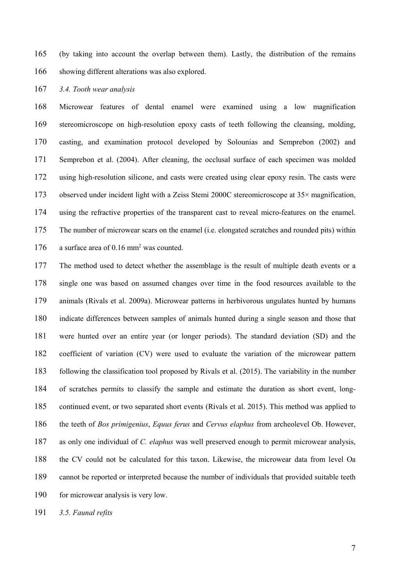(by taking into account the overlap between them). Lastly, the distribution of the remains showing different alterations was also explored.

3.4. Tooth wear analysis

Microwear features of dental enamel were examined using a low magnification stereomicroscope on high-resolution epoxy casts of teeth following the cleansing, molding, casting, and examination protocol developed by Solounias and Semprebon (2002) and Semprebon et al. (2004). After cleaning, the occlusal surface of each specimen was molded using high-resolution silicone, and casts were created using clear epoxy resin. The casts were observed under incident light with a Zeiss Stemi 2000C stereomicroscope at 35× magnification, using the refractive properties of the transparent cast to reveal micro-features on the enamel. The number of microwear scars on the enamel (i.e. elongated scratches and rounded pits) within 176 a surface area of  $0.16$  mm<sup>2</sup> was counted.

The method used to detect whether the assemblage is the result of multiple death events or a single one was based on assumed changes over time in the food resources available to the animals (Rivals et al. 2009a). Microwear patterns in herbivorous ungulates hunted by humans indicate differences between samples of animals hunted during a single season and those that were hunted over an entire year (or longer periods). The standard deviation (SD) and the coefficient of variation (CV) were used to evaluate the variation of the microwear pattern following the classification tool proposed by Rivals et al. (2015). The variability in the number of scratches permits to classify the sample and estimate the duration as short event, long-continued event, or two separated short events (Rivals et al. 2015). This method was applied to 186 the teeth of Bos primigenius, Equus ferus and Cervus elaphus from archeolevel Ob. However, 187 as only one individual of C. elaphus was well preserved enough to permit microwear analysis, the CV could not be calculated for this taxon. Likewise, the microwear data from level Oa cannot be reported or interpreted because the number of individuals that provided suitable teeth 190 for microwear analysis is very low.

191 3.5. Faunal refits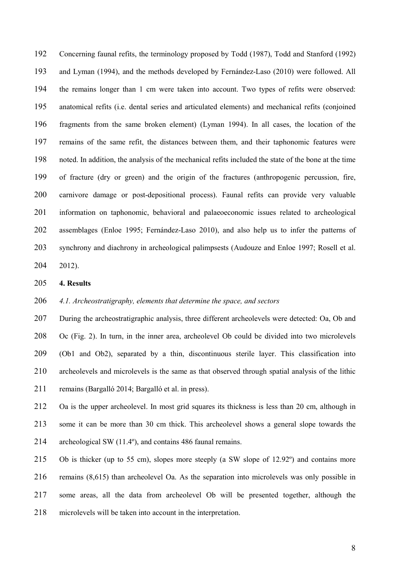Concerning faunal refits, the terminology proposed by Todd (1987), Todd and Stanford (1992) and Lyman (1994), and the methods developed by Fernández-Laso (2010) were followed. All the remains longer than 1 cm were taken into account. Two types of refits were observed: anatomical refits (i.e. dental series and articulated elements) and mechanical refits (conjoined fragments from the same broken element) (Lyman 1994). In all cases, the location of the remains of the same refit, the distances between them, and their taphonomic features were noted. In addition, the analysis of the mechanical refits included the state of the bone at the time of fracture (dry or green) and the origin of the fractures (anthropogenic percussion, fire, carnivore damage or post-depositional process). Faunal refits can provide very valuable information on taphonomic, behavioral and palaeoeconomic issues related to archeological assemblages (Enloe 1995; Fernández-Laso 2010), and also help us to infer the patterns of synchrony and diachrony in archeological palimpsests (Audouze and Enloe 1997; Rosell et al. 2012).

4. Results

### 206 4.1. Archeostratigraphy, elements that determine the space, and sectors

207 During the archeostratigraphic analysis, three different archeolevels were detected: Oa, Ob and Oc (Fig. 2). In turn, in the inner area, archeolevel Ob could be divided into two microlevels (Ob1 and Ob2), separated by a thin, discontinuous sterile layer. This classification into archeolevels and microlevels is the same as that observed through spatial analysis of the lithic remains (Bargalló 2014; Bargalló et al. in press).

Oa is the upper archeolevel. In most grid squares its thickness is less than 20 cm, although in some it can be more than 30 cm thick. This archeolevel shows a general slope towards the archeological SW (11.4º), and contains 486 faunal remains.

Ob is thicker (up to 55 cm), slopes more steeply (a SW slope of 12.92º) and contains more remains (8,615) than archeolevel Oa. As the separation into microlevels was only possible in some areas, all the data from archeolevel Ob will be presented together, although the microlevels will be taken into account in the interpretation.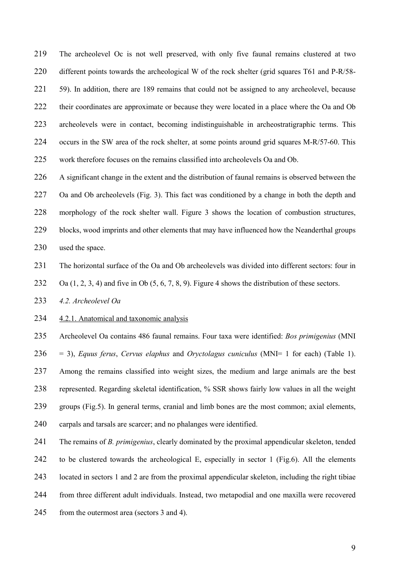The archeolevel Oc is not well preserved, with only five faunal remains clustered at two different points towards the archeological W of the rock shelter (grid squares T61 and P-R/58- 221 59). In addition, there are 189 remains that could not be assigned to any archeolevel, because their coordinates are approximate or because they were located in a place where the Oa and Ob archeolevels were in contact, becoming indistinguishable in archeostratigraphic terms. This occurs in the SW area of the rock shelter, at some points around grid squares M-R/57-60. This work therefore focuses on the remains classified into archeolevels Oa and Ob.

A significant change in the extent and the distribution of faunal remains is observed between the Oa and Ob archeolevels (Fig. 3). This fact was conditioned by a change in both the depth and morphology of the rock shelter wall. Figure 3 shows the location of combustion structures, blocks, wood imprints and other elements that may have influenced how the Neanderthal groups used the space.

The horizontal surface of the Oa and Ob archeolevels was divided into different sectors: four in

232 Oa  $(1, 2, 3, 4)$  and five in Ob  $(5, 6, 7, 8, 9)$ . Figure 4 shows the distribution of these sectors.

4.2. Archeolevel Oa

4.2.1. Anatomical and taxonomic analysis

Archeolevel Oa contains 486 faunal remains. Four taxa were identified: Bos primigenius (MNI 236 = 3), Equus ferus, Cervus elaphus and Oryctolagus cuniculus (MNI= 1 for each) (Table 1). 237 Among the remains classified into weight sizes, the medium and large animals are the best represented. Regarding skeletal identification, % SSR shows fairly low values in all the weight groups (Fig.5). In general terms, cranial and limb bones are the most common; axial elements, carpals and tarsals are scarcer; and no phalanges were identified.

241 The remains of *B. primigenius*, clearly dominated by the proximal appendicular skeleton, tended to be clustered towards the archeological E, especially in sector 1 (Fig.6). All the elements located in sectors 1 and 2 are from the proximal appendicular skeleton, including the right tibiae from three different adult individuals. Instead, two metapodial and one maxilla were recovered from the outermost area (sectors 3 and 4).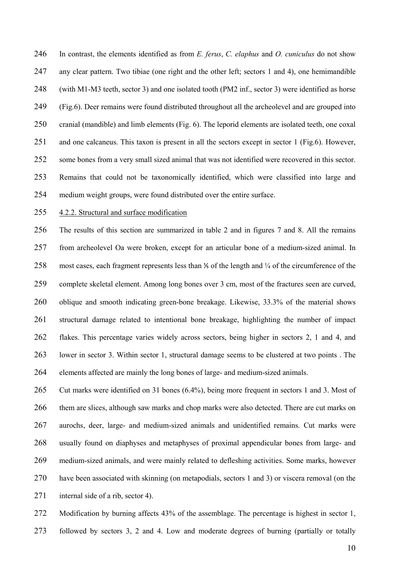246 In contrast, the elements identified as from  $E$ . ferus,  $C$ . elaphus and  $O$ . cuniculus do not show any clear pattern. Two tibiae (one right and the other left; sectors 1 and 4), one hemimandible (with M1-M3 teeth, sector 3) and one isolated tooth (PM2 inf., sector 3) were identified as horse (Fig.6). Deer remains were found distributed throughout all the archeolevel and are grouped into cranial (mandible) and limb elements (Fig. 6). The leporid elements are isolated teeth, one coxal and one calcaneus. This taxon is present in all the sectors except in sector 1 (Fig.6). However, some bones from a very small sized animal that was not identified were recovered in this sector. Remains that could not be taxonomically identified, which were classified into large and medium weight groups, were found distributed over the entire surface.

### 4.2.2. Structural and surface modification

The results of this section are summarized in table 2 and in figures 7 and 8. All the remains from archeolevel Oa were broken, except for an articular bone of a medium-sized animal. In 258 most cases, each fragment represents less than <sup>1</sup>/<sub>2</sub> of the length and <sup>1</sup>/<sub>4</sub> of the circumference of the complete skeletal element. Among long bones over 3 cm, most of the fractures seen are curved, oblique and smooth indicating green-bone breakage. Likewise, 33.3% of the material shows structural damage related to intentional bone breakage, highlighting the number of impact flakes. This percentage varies widely across sectors, being higher in sectors 2, 1 and 4, and lower in sector 3. Within sector 1, structural damage seems to be clustered at two points . The elements affected are mainly the long bones of large- and medium-sized animals.

Cut marks were identified on 31 bones (6.4%), being more frequent in sectors 1 and 3. Most of them are slices, although saw marks and chop marks were also detected. There are cut marks on aurochs, deer, large- and medium-sized animals and unidentified remains. Cut marks were usually found on diaphyses and metaphyses of proximal appendicular bones from large- and medium-sized animals, and were mainly related to defleshing activities. Some marks, however 270 have been associated with skinning (on metapodials, sectors 1 and 3) or viscera removal (on the 271 internal side of a rib, sector 4).

Modification by burning affects 43% of the assemblage. The percentage is highest in sector 1, followed by sectors 3, 2 and 4. Low and moderate degrees of burning (partially or totally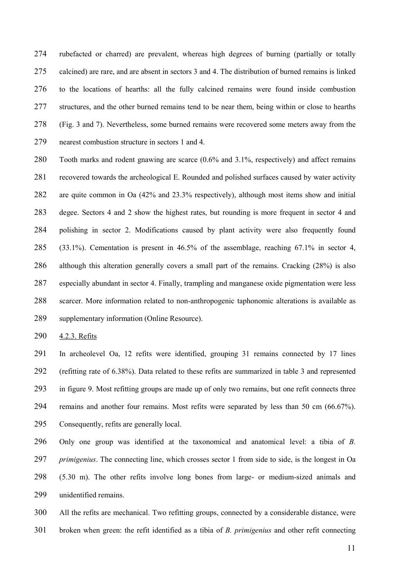rubefacted or charred) are prevalent, whereas high degrees of burning (partially or totally calcined) are rare, and are absent in sectors 3 and 4. The distribution of burned remains is linked to the locations of hearths: all the fully calcined remains were found inside combustion structures, and the other burned remains tend to be near them, being within or close to hearths (Fig. 3 and 7). Nevertheless, some burned remains were recovered some meters away from the nearest combustion structure in sectors 1 and 4.

Tooth marks and rodent gnawing are scarce (0.6% and 3.1%, respectively) and affect remains recovered towards the archeological E. Rounded and polished surfaces caused by water activity are quite common in Oa (42% and 23.3% respectively), although most items show and initial degee. Sectors 4 and 2 show the highest rates, but rounding is more frequent in sector 4 and polishing in sector 2. Modifications caused by plant activity were also frequently found (33.1%). Cementation is present in 46.5% of the assemblage, reaching 67.1% in sector 4, although this alteration generally covers a small part of the remains. Cracking (28%) is also especially abundant in sector 4. Finally, trampling and manganese oxide pigmentation were less scarcer. More information related to non-anthropogenic taphonomic alterations is available as supplementary information (Online Resource).

4.2.3. Refits

In archeolevel Oa, 12 refits were identified, grouping 31 remains connected by 17 lines (refitting rate of 6.38%). Data related to these refits are summarized in table 3 and represented in figure 9. Most refitting groups are made up of only two remains, but one refit connects three remains and another four remains. Most refits were separated by less than 50 cm (66.67%). Consequently, refits are generally local.

Only one group was identified at the taxonomical and anatomical level: a tibia of B. *primigenius*. The connecting line, which crosses sector 1 from side to side, is the longest in Oa (5.30 m). The other refits involve long bones from large- or medium-sized animals and unidentified remains.

All the refits are mechanical. Two refitting groups, connected by a considerable distance, were broken when green: the refit identified as a tibia of B. *primigenius* and other refit connecting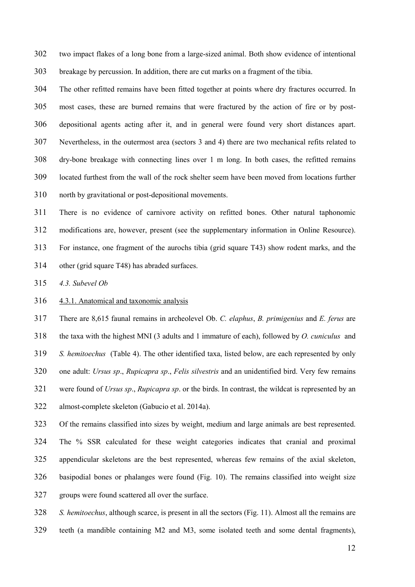two impact flakes of a long bone from a large-sized animal. Both show evidence of intentional breakage by percussion. In addition, there are cut marks on a fragment of the tibia.

The other refitted remains have been fitted together at points where dry fractures occurred. In most cases, these are burned remains that were fractured by the action of fire or by post-depositional agents acting after it, and in general were found very short distances apart. Nevertheless, in the outermost area (sectors 3 and 4) there are two mechanical refits related to dry-bone breakage with connecting lines over 1 m long. In both cases, the refitted remains located furthest from the wall of the rock shelter seem have been moved from locations further north by gravitational or post-depositional movements.

There is no evidence of carnivore activity on refitted bones. Other natural taphonomic modifications are, however, present (see the supplementary information in Online Resource). For instance, one fragment of the aurochs tibia (grid square T43) show rodent marks, and the other (grid square T48) has abraded surfaces.

4.3. Subevel Ob

4.3.1. Anatomical and taxonomic analysis

There are 8,615 faunal remains in archeolevel Ob. C. elaphus, B. primigenius and E. ferus are the taxa with the highest MNI (3 adults and 1 immature of each), followed by O. cuniculus and S. hemitoechus (Table 4). The other identified taxa, listed below, are each represented by only 320 one adult: Ursus sp., Rupicapra sp., Felis silvestris and an unidentified bird. Very few remains 321 were found of Ursus sp., Rupicapra sp. or the birds. In contrast, the wildcat is represented by an almost-complete skeleton (Gabucio et al. 2014a). Of the remains classified into sizes by weight, medium and large animals are best represented.

The % SSR calculated for these weight categories indicates that cranial and proximal appendicular skeletons are the best represented, whereas few remains of the axial skeleton, basipodial bones or phalanges were found (Fig. 10). The remains classified into weight size groups were found scattered all over the surface.

S. hemitoechus, although scarce, is present in all the sectors (Fig. 11). Almost all the remains are teeth (a mandible containing M2 and M3, some isolated teeth and some dental fragments),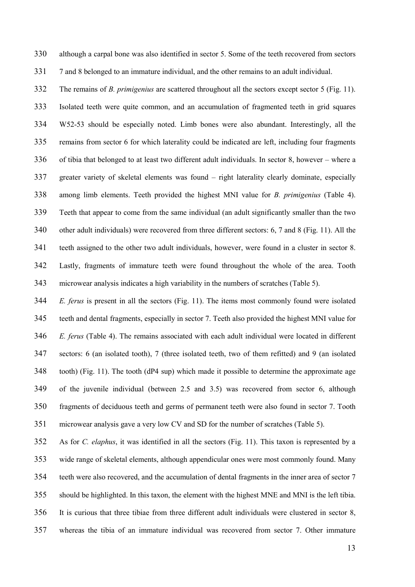although a carpal bone was also identified in sector 5. Some of the teeth recovered from sectors 7 and 8 belonged to an immature individual, and the other remains to an adult individual.

332 The remains of *B. primigenius* are scattered throughout all the sectors except sector 5 (Fig. 11). Isolated teeth were quite common, and an accumulation of fragmented teeth in grid squares W52-53 should be especially noted. Limb bones were also abundant. Interestingly, all the remains from sector 6 for which laterality could be indicated are left, including four fragments of tibia that belonged to at least two different adult individuals. In sector 8, however – where a greater variety of skeletal elements was found – right laterality clearly dominate, especially among limb elements. Teeth provided the highest MNI value for B. primigenius (Table 4). Teeth that appear to come from the same individual (an adult significantly smaller than the two other adult individuals) were recovered from three different sectors: 6, 7 and 8 (Fig. 11). All the teeth assigned to the other two adult individuals, however, were found in a cluster in sector 8. Lastly, fragments of immature teeth were found throughout the whole of the area. Tooth microwear analysis indicates a high variability in the numbers of scratches (Table 5).

E. ferus is present in all the sectors (Fig. 11). The items most commonly found were isolated teeth and dental fragments, especially in sector 7. Teeth also provided the highest MNI value for 346 E. ferus (Table 4). The remains associated with each adult individual were located in different sectors: 6 (an isolated tooth), 7 (three isolated teeth, two of them refitted) and 9 (an isolated tooth) (Fig. 11). The tooth (dP4 sup) which made it possible to determine the approximate age of the juvenile individual (between 2.5 and 3.5) was recovered from sector 6, although fragments of deciduous teeth and germs of permanent teeth were also found in sector 7. Tooth microwear analysis gave a very low CV and SD for the number of scratches (Table 5).

As for C. elaphus, it was identified in all the sectors (Fig. 11). This taxon is represented by a wide range of skeletal elements, although appendicular ones were most commonly found. Many teeth were also recovered, and the accumulation of dental fragments in the inner area of sector 7 should be highlighted. In this taxon, the element with the highest MNE and MNI is the left tibia. It is curious that three tibiae from three different adult individuals were clustered in sector 8, whereas the tibia of an immature individual was recovered from sector 7. Other immature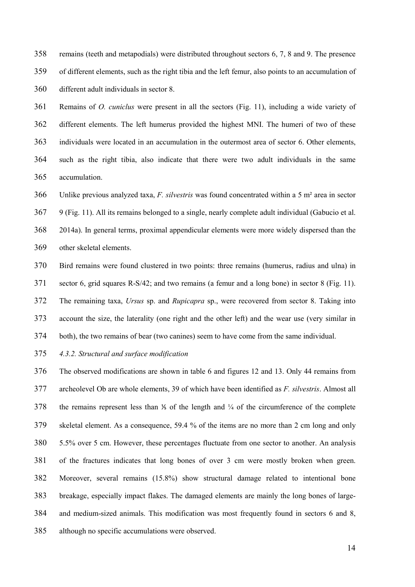remains (teeth and metapodials) were distributed throughout sectors 6, 7, 8 and 9. The presence of different elements, such as the right tibia and the left femur, also points to an accumulation of different adult individuals in sector 8.

Remains of O. cuniclus were present in all the sectors (Fig. 11), including a wide variety of different elements. The left humerus provided the highest MNI. The humeri of two of these individuals were located in an accumulation in the outermost area of sector 6. Other elements, such as the right tibia, also indicate that there were two adult individuals in the same accumulation.

366 Unlike previous analyzed taxa, F. silvestris was found concentrated within a 5 m<sup>2</sup> area in sector 9 (Fig. 11). All its remains belonged to a single, nearly complete adult individual (Gabucio et al. 2014a). In general terms, proximal appendicular elements were more widely dispersed than the other skeletal elements.

Bird remains were found clustered in two points: three remains (humerus, radius and ulna) in sector 6, grid squares R-S/42; and two remains (a femur and a long bone) in sector 8 (Fig. 11). The remaining taxa, Ursus sp. and Rupicapra sp., were recovered from sector 8. Taking into account the size, the laterality (one right and the other left) and the wear use (very similar in both), the two remains of bear (two canines) seem to have come from the same individual.

4.3.2. Structural and surface modification

The observed modifications are shown in table 6 and figures 12 and 13. Only 44 remains from 377 archeolevel Ob are whole elements, 39 of which have been identified as *F. silvestris*. Almost all 378 the remains represent less than <sup>1</sup>/<sub>4</sub> of the length and <sup>1</sup>/<sub>4</sub> of the circumference of the complete skeletal element. As a consequence, 59.4 % of the items are no more than 2 cm long and only 5.5% over 5 cm. However, these percentages fluctuate from one sector to another. An analysis of the fractures indicates that long bones of over 3 cm were mostly broken when green. Moreover, several remains (15.8%) show structural damage related to intentional bone breakage, especially impact flakes. The damaged elements are mainly the long bones of large-and medium-sized animals. This modification was most frequently found in sectors 6 and 8, although no specific accumulations were observed.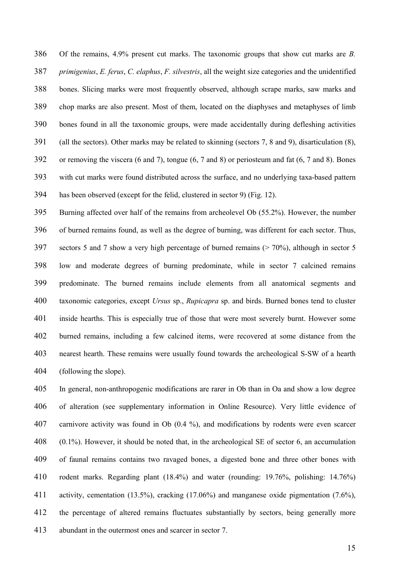Of the remains, 4.9% present cut marks. The taxonomic groups that show cut marks are B. 387 primigenius, E. ferus, C. elaphus, F. silvestris, all the weight size categories and the unidentified bones. Slicing marks were most frequently observed, although scrape marks, saw marks and chop marks are also present. Most of them, located on the diaphyses and metaphyses of limb bones found in all the taxonomic groups, were made accidentally during defleshing activities (all the sectors). Other marks may be related to skinning (sectors 7, 8 and 9), disarticulation (8), or removing the viscera (6 and 7), tongue (6, 7 and 8) or periosteum and fat (6, 7 and 8). Bones with cut marks were found distributed across the surface, and no underlying taxa-based pattern has been observed (except for the felid, clustered in sector 9) (Fig. 12).

Burning affected over half of the remains from archeolevel Ob (55.2%). However, the number of burned remains found, as well as the degree of burning, was different for each sector. Thus, sectors 5 and 7 show a very high percentage of burned remains (> 70%), although in sector 5 low and moderate degrees of burning predominate, while in sector 7 calcined remains predominate. The burned remains include elements from all anatomical segments and 400 taxonomic categories, except *Ursus* sp., *Rupicapra* sp. and birds. Burned bones tend to cluster inside hearths. This is especially true of those that were most severely burnt. However some burned remains, including a few calcined items, were recovered at some distance from the nearest hearth. These remains were usually found towards the archeological S-SW of a hearth (following the slope).

In general, non-anthropogenic modifications are rarer in Ob than in Oa and show a low degree of alteration (see supplementary information in Online Resource). Very little evidence of carnivore activity was found in Ob (0.4 %), and modifications by rodents were even scarcer (0.1%). However, it should be noted that, in the archeological SE of sector 6, an accumulation of faunal remains contains two ravaged bones, a digested bone and three other bones with rodent marks. Regarding plant (18.4%) and water (rounding: 19.76%, polishing: 14.76%) activity, cementation (13.5%), cracking (17.06%) and manganese oxide pigmentation (7.6%), the percentage of altered remains fluctuates substantially by sectors, being generally more abundant in the outermost ones and scarcer in sector 7.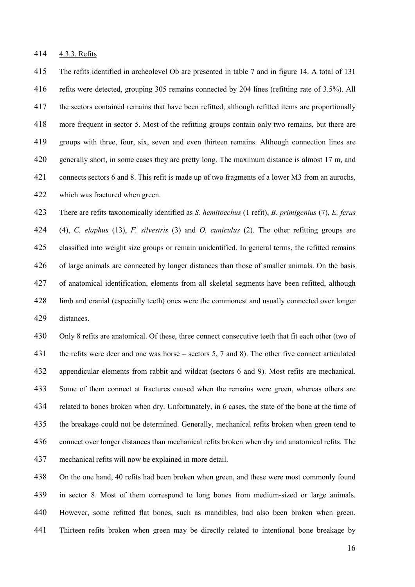4.3.3. Refits

The refits identified in archeolevel Ob are presented in table 7 and in figure 14. A total of 131 refits were detected, grouping 305 remains connected by 204 lines (refitting rate of 3.5%). All the sectors contained remains that have been refitted, although refitted items are proportionally more frequent in sector 5. Most of the refitting groups contain only two remains, but there are groups with three, four, six, seven and even thirteen remains. Although connection lines are generally short, in some cases they are pretty long. The maximum distance is almost 17 m, and connects sectors 6 and 8. This refit is made up of two fragments of a lower M3 from an aurochs, which was fractured when green.

There are refits taxonomically identified as S. hemitoechus (1 refit), B. primigenius (7), E. ferus (4), C. elaphus (13), F. silvestris (3) and O. cuniculus (2). The other refitting groups are classified into weight size groups or remain unidentified. In general terms, the refitted remains of large animals are connected by longer distances than those of smaller animals. On the basis of anatomical identification, elements from all skeletal segments have been refitted, although limb and cranial (especially teeth) ones were the commonest and usually connected over longer distances.

Only 8 refits are anatomical. Of these, three connect consecutive teeth that fit each other (two of the refits were deer and one was horse – sectors 5, 7 and 8). The other five connect articulated appendicular elements from rabbit and wildcat (sectors 6 and 9). Most refits are mechanical. Some of them connect at fractures caused when the remains were green, whereas others are related to bones broken when dry. Unfortunately, in 6 cases, the state of the bone at the time of the breakage could not be determined. Generally, mechanical refits broken when green tend to connect over longer distances than mechanical refits broken when dry and anatomical refits. The mechanical refits will now be explained in more detail.

On the one hand, 40 refits had been broken when green, and these were most commonly found in sector 8. Most of them correspond to long bones from medium-sized or large animals. However, some refitted flat bones, such as mandibles, had also been broken when green. Thirteen refits broken when green may be directly related to intentional bone breakage by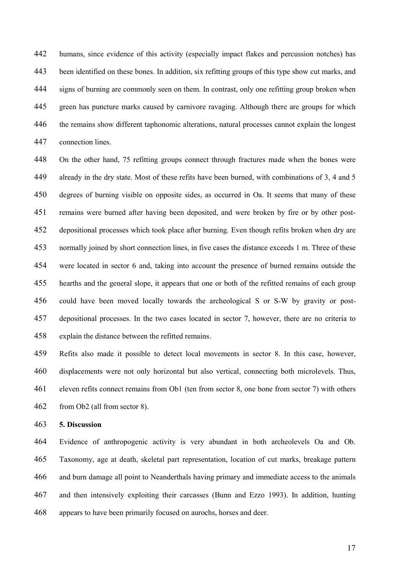humans, since evidence of this activity (especially impact flakes and percussion notches) has been identified on these bones. In addition, six refitting groups of this type show cut marks, and signs of burning are commonly seen on them. In contrast, only one refitting group broken when green has puncture marks caused by carnivore ravaging. Although there are groups for which the remains show different taphonomic alterations, natural processes cannot explain the longest connection lines.

On the other hand, 75 refitting groups connect through fractures made when the bones were already in the dry state. Most of these refits have been burned, with combinations of 3, 4 and 5 degrees of burning visible on opposite sides, as occurred in Oa. It seems that many of these remains were burned after having been deposited, and were broken by fire or by other post-depositional processes which took place after burning. Even though refits broken when dry are normally joined by short connection lines, in five cases the distance exceeds 1 m. Three of these were located in sector 6 and, taking into account the presence of burned remains outside the hearths and the general slope, it appears that one or both of the refitted remains of each group could have been moved locally towards the archeological S or S-W by gravity or post-depositional processes. In the two cases located in sector 7, however, there are no criteria to explain the distance between the refitted remains.

Refits also made it possible to detect local movements in sector 8. In this case, however, displacements were not only horizontal but also vertical, connecting both microlevels. Thus, eleven refits connect remains from Ob1 (ten from sector 8, one bone from sector 7) with others from Ob2 (all from sector 8).

### 5. Discussion

Evidence of anthropogenic activity is very abundant in both archeolevels Oa and Ob. Taxonomy, age at death, skeletal part representation, location of cut marks, breakage pattern and burn damage all point to Neanderthals having primary and immediate access to the animals and then intensively exploiting their carcasses (Bunn and Ezzo 1993). In addition, hunting appears to have been primarily focused on aurochs, horses and deer.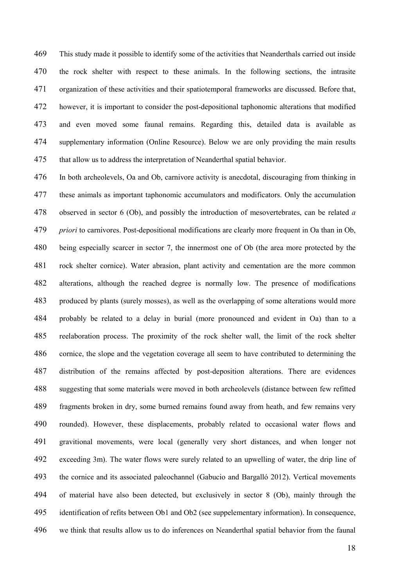This study made it possible to identify some of the activities that Neanderthals carried out inside the rock shelter with respect to these animals. In the following sections, the intrasite organization of these activities and their spatiotemporal frameworks are discussed. Before that, however, it is important to consider the post-depositional taphonomic alterations that modified and even moved some faunal remains. Regarding this, detailed data is available as supplementary information (Online Resource). Below we are only providing the main results that allow us to address the interpretation of Neanderthal spatial behavior.

In both archeolevels, Oa and Ob, carnivore activity is anecdotal, discouraging from thinking in these animals as important taphonomic accumulators and modificators. Only the accumulation 478 observed in sector 6 (Ob), and possibly the introduction of mesovertebrates, can be related a *priori* to carnivores. Post-depositional modifications are clearly more frequent in Oa than in Ob, being especially scarcer in sector 7, the innermost one of Ob (the area more protected by the rock shelter cornice). Water abrasion, plant activity and cementation are the more common alterations, although the reached degree is normally low. The presence of modifications produced by plants (surely mosses), as well as the overlapping of some alterations would more probably be related to a delay in burial (more pronounced and evident in Oa) than to a reelaboration process. The proximity of the rock shelter wall, the limit of the rock shelter cornice, the slope and the vegetation coverage all seem to have contributed to determining the distribution of the remains affected by post-deposition alterations. There are evidences suggesting that some materials were moved in both archeolevels (distance between few refitted fragments broken in dry, some burned remains found away from heath, and few remains very rounded). However, these displacements, probably related to occasional water flows and gravitional movements, were local (generally very short distances, and when longer not exceeding 3m). The water flows were surely related to an upwelling of water, the drip line of the cornice and its associated paleochannel (Gabucio and Bargalló 2012). Vertical movements of material have also been detected, but exclusively in sector 8 (Ob), mainly through the identification of refits between Ob1 and Ob2 (see suppelementary information). In consequence, we think that results allow us to do inferences on Neanderthal spatial behavior from the faunal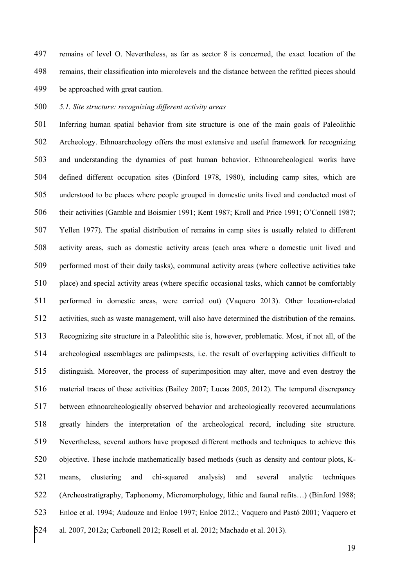remains of level O. Nevertheless, as far as sector 8 is concerned, the exact location of the remains, their classification into microlevels and the distance between the refitted pieces should be approached with great caution.

## 500 5.1. Site structure: recognizing different activity areas

Inferring human spatial behavior from site structure is one of the main goals of Paleolithic Archeology. Ethnoarcheology offers the most extensive and useful framework for recognizing and understanding the dynamics of past human behavior. Ethnoarcheological works have defined different occupation sites (Binford 1978, 1980), including camp sites, which are understood to be places where people grouped in domestic units lived and conducted most of their activities (Gamble and Boismier 1991; Kent 1987; Kroll and Price 1991; O'Connell 1987; Yellen 1977). The spatial distribution of remains in camp sites is usually related to different activity areas, such as domestic activity areas (each area where a domestic unit lived and performed most of their daily tasks), communal activity areas (where collective activities take place) and special activity areas (where specific occasional tasks, which cannot be comfortably performed in domestic areas, were carried out) (Vaquero 2013). Other location-related activities, such as waste management, will also have determined the distribution of the remains. Recognizing site structure in a Paleolithic site is, however, problematic. Most, if not all, of the archeological assemblages are palimpsests, i.e. the result of overlapping activities difficult to distinguish. Moreover, the process of superimposition may alter, move and even destroy the material traces of these activities (Bailey 2007; Lucas 2005, 2012). The temporal discrepancy between ethnoarcheologically observed behavior and archeologically recovered accumulations greatly hinders the interpretation of the archeological record, including site structure. Nevertheless, several authors have proposed different methods and techniques to achieve this objective. These include mathematically based methods (such as density and contour plots, K-means, clustering and chi-squared analysis) and several analytic techniques (Archeostratigraphy, Taphonomy, Micromorphology, lithic and faunal refits…) (Binford 1988; Enloe et al. 1994; Audouze and Enloe 1997; Enloe 2012.; Vaquero and Pastó 2001; Vaquero et al. 2007, 2012a; Carbonell 2012; Rosell et al. 2012; Machado et al. 2013).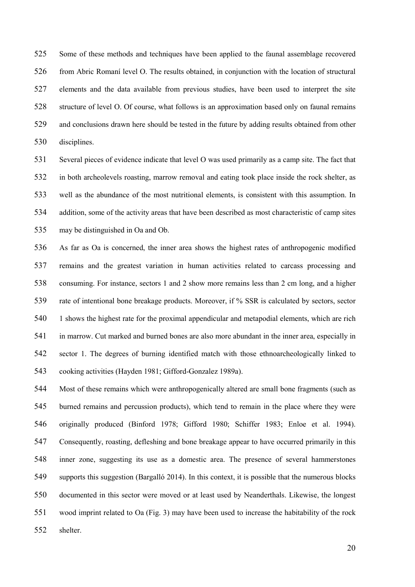Some of these methods and techniques have been applied to the faunal assemblage recovered from Abric Romaní level O. The results obtained, in conjunction with the location of structural elements and the data available from previous studies, have been used to interpret the site structure of level O. Of course, what follows is an approximation based only on faunal remains and conclusions drawn here should be tested in the future by adding results obtained from other disciplines.

Several pieces of evidence indicate that level O was used primarily as a camp site. The fact that in both archeolevels roasting, marrow removal and eating took place inside the rock shelter, as well as the abundance of the most nutritional elements, is consistent with this assumption. In addition, some of the activity areas that have been described as most characteristic of camp sites may be distinguished in Oa and Ob.

As far as Oa is concerned, the inner area shows the highest rates of anthropogenic modified remains and the greatest variation in human activities related to carcass processing and consuming. For instance, sectors 1 and 2 show more remains less than 2 cm long, and a higher rate of intentional bone breakage products. Moreover, if % SSR is calculated by sectors, sector 1 shows the highest rate for the proximal appendicular and metapodial elements, which are rich in marrow. Cut marked and burned bones are also more abundant in the inner area, especially in sector 1. The degrees of burning identified match with those ethnoarcheologically linked to cooking activities (Hayden 1981; Gifford-Gonzalez 1989a).

Most of these remains which were anthropogenically altered are small bone fragments (such as burned remains and percussion products), which tend to remain in the place where they were originally produced (Binford 1978; Gifford 1980; Schiffer 1983; Enloe et al. 1994). Consequently, roasting, defleshing and bone breakage appear to have occurred primarily in this inner zone, suggesting its use as a domestic area. The presence of several hammerstones supports this suggestion (Bargalló 2014). In this context, it is possible that the numerous blocks documented in this sector were moved or at least used by Neanderthals. Likewise, the longest wood imprint related to Oa (Fig. 3) may have been used to increase the habitability of the rock shelter.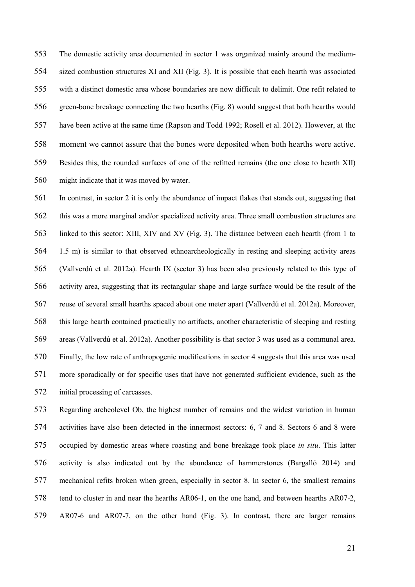The domestic activity area documented in sector 1 was organized mainly around the medium-sized combustion structures XI and XII (Fig. 3). It is possible that each hearth was associated with a distinct domestic area whose boundaries are now difficult to delimit. One refit related to green-bone breakage connecting the two hearths (Fig. 8) would suggest that both hearths would have been active at the same time (Rapson and Todd 1992; Rosell et al. 2012). However, at the 558 moment we cannot assure that the bones were deposited when both hearths were active. Besides this, the rounded surfaces of one of the refitted remains (the one close to hearth XII) might indicate that it was moved by water.

In contrast, in sector 2 it is only the abundance of impact flakes that stands out, suggesting that this was a more marginal and/or specialized activity area. Three small combustion structures are linked to this sector: XIII, XIV and XV (Fig. 3). The distance between each hearth (from 1 to 1.5 m) is similar to that observed ethnoarcheologically in resting and sleeping activity areas (Vallverdú et al. 2012a). Hearth IX (sector 3) has been also previously related to this type of activity area, suggesting that its rectangular shape and large surface would be the result of the reuse of several small hearths spaced about one meter apart (Vallverdú et al. 2012a). Moreover, this large hearth contained practically no artifacts, another characteristic of sleeping and resting areas (Vallverdú et al. 2012a). Another possibility is that sector 3 was used as a communal area. Finally, the low rate of anthropogenic modifications in sector 4 suggests that this area was used more sporadically or for specific uses that have not generated sufficient evidence, such as the initial processing of carcasses.

Regarding archeolevel Ob, the highest number of remains and the widest variation in human activities have also been detected in the innermost sectors: 6, 7 and 8. Sectors 6 and 8 were occupied by domestic areas where roasting and bone breakage took place in situ. This latter activity is also indicated out by the abundance of hammerstones (Bargalló 2014) and mechanical refits broken when green, especially in sector 8. In sector 6, the smallest remains tend to cluster in and near the hearths AR06-1, on the one hand, and between hearths AR07-2, AR07-6 and AR07-7, on the other hand (Fig. 3). In contrast, there are larger remains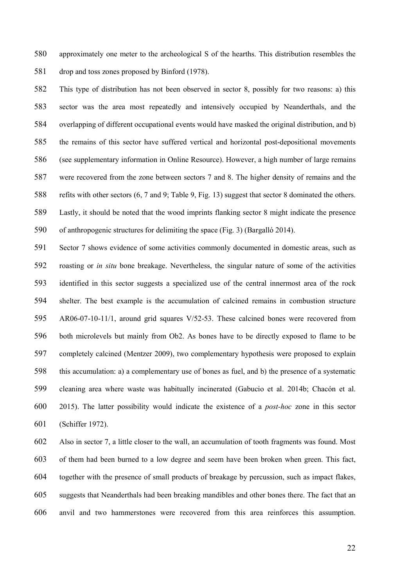approximately one meter to the archeological S of the hearths. This distribution resembles the drop and toss zones proposed by Binford (1978).

This type of distribution has not been observed in sector 8, possibly for two reasons: a) this sector was the area most repeatedly and intensively occupied by Neanderthals, and the overlapping of different occupational events would have masked the original distribution, and b) the remains of this sector have suffered vertical and horizontal post-depositional movements (see supplementary information in Online Resource). However, a high number of large remains were recovered from the zone between sectors 7 and 8. The higher density of remains and the refits with other sectors (6, 7 and 9; Table 9, Fig. 13) suggest that sector 8 dominated the others. Lastly, it should be noted that the wood imprints flanking sector 8 might indicate the presence of anthropogenic structures for delimiting the space (Fig. 3) (Bargalló 2014).

Sector 7 shows evidence of some activities commonly documented in domestic areas, such as roasting or in situ bone breakage. Nevertheless, the singular nature of some of the activities identified in this sector suggests a specialized use of the central innermost area of the rock shelter. The best example is the accumulation of calcined remains in combustion structure AR06-07-10-11/1, around grid squares V/52-53. These calcined bones were recovered from both microlevels but mainly from Ob2. As bones have to be directly exposed to flame to be completely calcined (Mentzer 2009), two complementary hypothesis were proposed to explain this accumulation: a) a complementary use of bones as fuel, and b) the presence of a systematic cleaning area where waste was habitually incinerated (Gabucio et al. 2014b; Chacón et al. 2015). The latter possibility would indicate the existence of a post-hoc zone in this sector (Schiffer 1972).

Also in sector 7, a little closer to the wall, an accumulation of tooth fragments was found. Most of them had been burned to a low degree and seem have been broken when green. This fact, together with the presence of small products of breakage by percussion, such as impact flakes, suggests that Neanderthals had been breaking mandibles and other bones there. The fact that an anvil and two hammerstones were recovered from this area reinforces this assumption.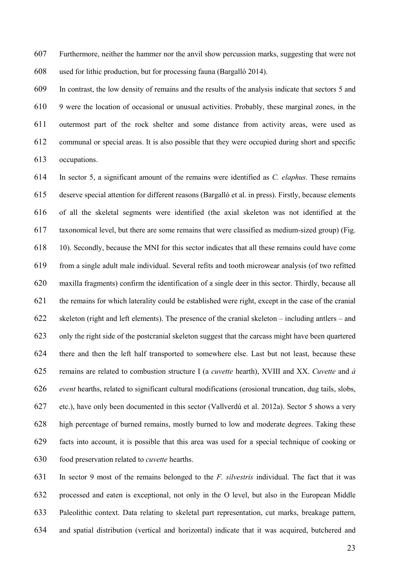Furthermore, neither the hammer nor the anvil show percussion marks, suggesting that were not used for lithic production, but for processing fauna (Bargalló 2014).

In contrast, the low density of remains and the results of the analysis indicate that sectors 5 and 9 were the location of occasional or unusual activities. Probably, these marginal zones, in the outermost part of the rock shelter and some distance from activity areas, were used as communal or special areas. It is also possible that they were occupied during short and specific occupations.

In sector 5, a significant amount of the remains were identified as C. elaphus. These remains deserve special attention for different reasons (Bargalló et al. in press). Firstly, because elements of all the skeletal segments were identified (the axial skeleton was not identified at the taxonomical level, but there are some remains that were classified as medium-sized group) (Fig. 10). Secondly, because the MNI for this sector indicates that all these remains could have come from a single adult male individual. Several refits and tooth microwear analysis (of two refitted maxilla fragments) confirm the identification of a single deer in this sector. Thirdly, because all the remains for which laterality could be established were right, except in the case of the cranial skeleton (right and left elements). The presence of the cranial skeleton – including antlers – and only the right side of the postcranial skeleton suggest that the carcass might have been quartered there and then the left half transported to somewhere else. Last but not least, because these 625 remains are related to combustion structure I (a *cuvette* hearth), XVIII and XX. Cuvette and  $\dot{a}$ event hearths, related to significant cultural modifications (erosional truncation, dug tails, slobs, etc.), have only been documented in this sector (Vallverdú et al. 2012a). Sector 5 shows a very high percentage of burned remains, mostly burned to low and moderate degrees. Taking these facts into account, it is possible that this area was used for a special technique of cooking or 630 food preservation related to *cuvette* hearths.

631 In sector 9 most of the remains belonged to the  $F$ . *silvestris* individual. The fact that it was processed and eaten is exceptional, not only in the O level, but also in the European Middle Paleolithic context. Data relating to skeletal part representation, cut marks, breakage pattern, and spatial distribution (vertical and horizontal) indicate that it was acquired, butchered and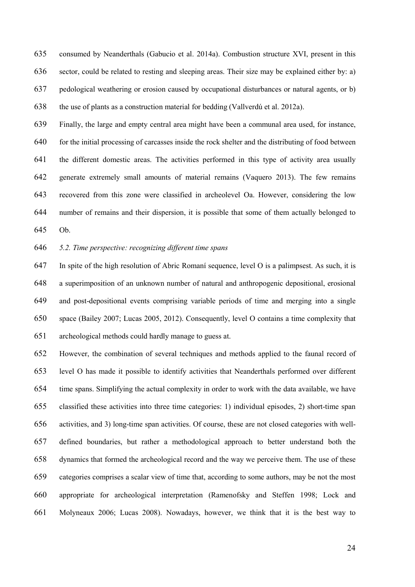consumed by Neanderthals (Gabucio et al. 2014a). Combustion structure XVI, present in this sector, could be related to resting and sleeping areas. Their size may be explained either by: a) pedological weathering or erosion caused by occupational disturbances or natural agents, or b) the use of plants as a construction material for bedding (Vallverdú et al. 2012a).

Finally, the large and empty central area might have been a communal area used, for instance, 640 for the initial processing of carcasses inside the rock shelter and the distributing of food between the different domestic areas. The activities performed in this type of activity area usually generate extremely small amounts of material remains (Vaquero 2013). The few remains recovered from this zone were classified in archeolevel Oa. However, considering the low number of remains and their dispersion, it is possible that some of them actually belonged to Ob.

5.2. Time perspective: recognizing different time spans

In spite of the high resolution of Abric Romaní sequence, level O is a palimpsest. As such, it is a superimposition of an unknown number of natural and anthropogenic depositional, erosional and post-depositional events comprising variable periods of time and merging into a single space (Bailey 2007; Lucas 2005, 2012). Consequently, level O contains a time complexity that archeological methods could hardly manage to guess at.

However, the combination of several techniques and methods applied to the faunal record of level O has made it possible to identify activities that Neanderthals performed over different time spans. Simplifying the actual complexity in order to work with the data available, we have classified these activities into three time categories: 1) individual episodes, 2) short-time span activities, and 3) long-time span activities. Of course, these are not closed categories with well-defined boundaries, but rather a methodological approach to better understand both the dynamics that formed the archeological record and the way we perceive them. The use of these categories comprises a scalar view of time that, according to some authors, may be not the most appropriate for archeological interpretation (Ramenofsky and Steffen 1998; Lock and Molyneaux 2006; Lucas 2008). Nowadays, however, we think that it is the best way to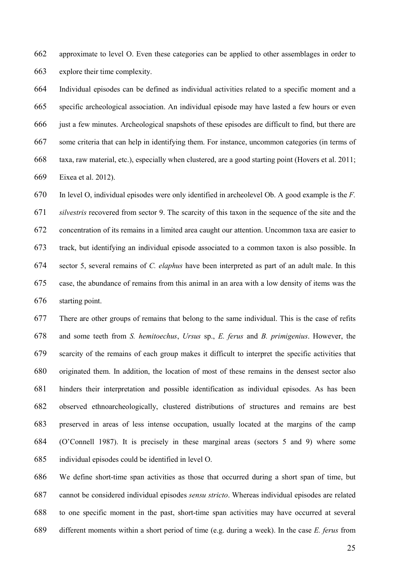approximate to level O. Even these categories can be applied to other assemblages in order to explore their time complexity.

Individual episodes can be defined as individual activities related to a specific moment and a specific archeological association. An individual episode may have lasted a few hours or even just a few minutes. Archeological snapshots of these episodes are difficult to find, but there are some criteria that can help in identifying them. For instance, uncommon categories (in terms of taxa, raw material, etc.), especially when clustered, are a good starting point (Hovers et al. 2011; Eixea et al. 2012).

In level O, individual episodes were only identified in archeolevel Ob. A good example is the F. silvestris recovered from sector 9. The scarcity of this taxon in the sequence of the site and the concentration of its remains in a limited area caught our attention. Uncommon taxa are easier to track, but identifying an individual episode associated to a common taxon is also possible. In sector 5, several remains of C. elaphus have been interpreted as part of an adult male. In this case, the abundance of remains from this animal in an area with a low density of items was the starting point.

There are other groups of remains that belong to the same individual. This is the case of refits and some teeth from S. hemitoechus, Ursus sp., E. ferus and B. primigenius. However, the scarcity of the remains of each group makes it difficult to interpret the specific activities that originated them. In addition, the location of most of these remains in the densest sector also hinders their interpretation and possible identification as individual episodes. As has been observed ethnoarcheologically, clustered distributions of structures and remains are best preserved in areas of less intense occupation, usually located at the margins of the camp (O'Connell 1987). It is precisely in these marginal areas (sectors 5 and 9) where some individual episodes could be identified in level O.

We define short-time span activities as those that occurred during a short span of time, but cannot be considered individual episodes sensu stricto. Whereas individual episodes are related to one specific moment in the past, short-time span activities may have occurred at several 689 different moments within a short period of time (e.g. during a week). In the case E, ferus from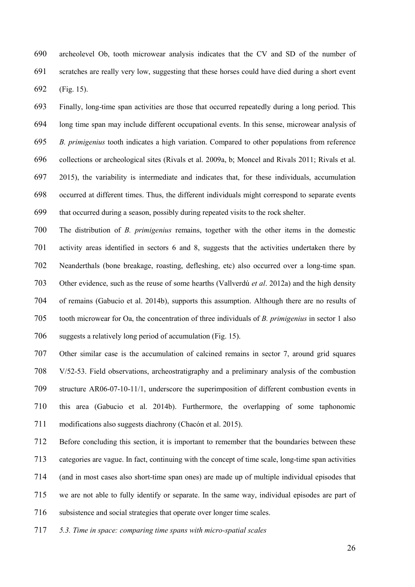archeolevel Ob, tooth microwear analysis indicates that the CV and SD of the number of scratches are really very low, suggesting that these horses could have died during a short event (Fig. 15).

Finally, long-time span activities are those that occurred repeatedly during a long period. This long time span may include different occupational events. In this sense, microwear analysis of B. primigenius tooth indicates a high variation. Compared to other populations from reference collections or archeological sites (Rivals et al. 2009a, b; Moncel and Rivals 2011; Rivals et al. 2015), the variability is intermediate and indicates that, for these individuals, accumulation occurred at different times. Thus, the different individuals might correspond to separate events that occurred during a season, possibly during repeated visits to the rock shelter.

The distribution of B. primigenius remains, together with the other items in the domestic activity areas identified in sectors 6 and 8, suggests that the activities undertaken there by Neanderthals (bone breakage, roasting, defleshing, etc) also occurred over a long-time span. 703 Other evidence, such as the reuse of some hearths (Vallverdú *et al.* 2012a) and the high density of remains (Gabucio et al. 2014b), supports this assumption. Although there are no results of tooth microwear for Oa, the concentration of three individuals of B. primigenius in sector 1 also suggests a relatively long period of accumulation (Fig. 15).

Other similar case is the accumulation of calcined remains in sector 7, around grid squares V/52-53. Field observations, archeostratigraphy and a preliminary analysis of the combustion structure AR06-07-10-11/1, underscore the superimposition of different combustion events in this area (Gabucio et al. 2014b). Furthermore, the overlapping of some taphonomic modifications also suggests diachrony (Chacón et al. 2015).

Before concluding this section, it is important to remember that the boundaries between these categories are vague. In fact, continuing with the concept of time scale, long-time span activities (and in most cases also short-time span ones) are made up of multiple individual episodes that we are not able to fully identify or separate. In the same way, individual episodes are part of subsistence and social strategies that operate over longer time scales.

5.3. Time in space: comparing time spans with micro-spatial scales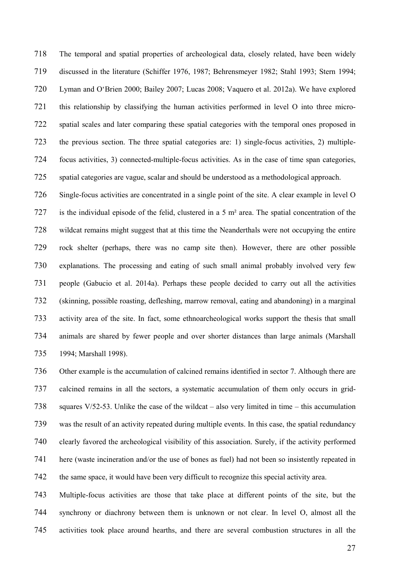The temporal and spatial properties of archeological data, closely related, have been widely discussed in the literature (Schiffer 1976, 1987; Behrensmeyer 1982; Stahl 1993; Stern 1994; Lyman and O'Brien 2000; Bailey 2007; Lucas 2008; Vaquero et al. 2012a). We have explored this relationship by classifying the human activities performed in level O into three micro-spatial scales and later comparing these spatial categories with the temporal ones proposed in the previous section. The three spatial categories are: 1) single-focus activities, 2) multiple-focus activities, 3) connected-multiple-focus activities. As in the case of time span categories, spatial categories are vague, scalar and should be understood as a methodological approach.

Single-focus activities are concentrated in a single point of the site. A clear example in level O is the individual episode of the felid, clustered in a 5 m² area. The spatial concentration of the wildcat remains might suggest that at this time the Neanderthals were not occupying the entire rock shelter (perhaps, there was no camp site then). However, there are other possible explanations. The processing and eating of such small animal probably involved very few people (Gabucio et al. 2014a). Perhaps these people decided to carry out all the activities (skinning, possible roasting, defleshing, marrow removal, eating and abandoning) in a marginal activity area of the site. In fact, some ethnoarcheological works support the thesis that small animals are shared by fewer people and over shorter distances than large animals (Marshall 1994; Marshall 1998).

Other example is the accumulation of calcined remains identified in sector 7. Although there are calcined remains in all the sectors, a systematic accumulation of them only occurs in grid-squares V/52-53. Unlike the case of the wildcat – also very limited in time – this accumulation was the result of an activity repeated during multiple events. In this case, the spatial redundancy clearly favored the archeological visibility of this association. Surely, if the activity performed here (waste incineration and/or the use of bones as fuel) had not been so insistently repeated in the same space, it would have been very difficult to recognize this special activity area.

Multiple-focus activities are those that take place at different points of the site, but the synchrony or diachrony between them is unknown or not clear. In level O, almost all the activities took place around hearths, and there are several combustion structures in all the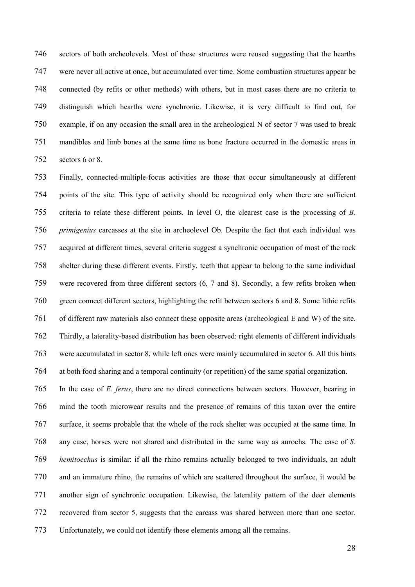sectors of both archeolevels. Most of these structures were reused suggesting that the hearths were never all active at once, but accumulated over time. Some combustion structures appear be connected (by refits or other methods) with others, but in most cases there are no criteria to distinguish which hearths were synchronic. Likewise, it is very difficult to find out, for example, if on any occasion the small area in the archeological N of sector 7 was used to break mandibles and limb bones at the same time as bone fracture occurred in the domestic areas in sectors 6 or 8.

Finally, connected-multiple-focus activities are those that occur simultaneously at different points of the site. This type of activity should be recognized only when there are sufficient criteria to relate these different points. In level O, the clearest case is the processing of B. primigenius carcasses at the site in archeolevel Ob. Despite the fact that each individual was acquired at different times, several criteria suggest a synchronic occupation of most of the rock shelter during these different events. Firstly, teeth that appear to belong to the same individual were recovered from three different sectors (6, 7 and 8). Secondly, a few refits broken when green connect different sectors, highlighting the refit between sectors 6 and 8. Some lithic refits of different raw materials also connect these opposite areas (archeological E and W) of the site. Thirdly, a laterality-based distribution has been observed: right elements of different individuals were accumulated in sector 8, while left ones were mainly accumulated in sector 6. All this hints at both food sharing and a temporal continuity (or repetition) of the same spatial organization.

In the case of E. ferus, there are no direct connections between sectors. However, bearing in mind the tooth microwear results and the presence of remains of this taxon over the entire surface, it seems probable that the whole of the rock shelter was occupied at the same time. In any case, horses were not shared and distributed in the same way as aurochs. The case of S. hemitoechus is similar: if all the rhino remains actually belonged to two individuals, an adult and an immature rhino, the remains of which are scattered throughout the surface, it would be another sign of synchronic occupation. Likewise, the laterality pattern of the deer elements recovered from sector 5, suggests that the carcass was shared between more than one sector. Unfortunately, we could not identify these elements among all the remains.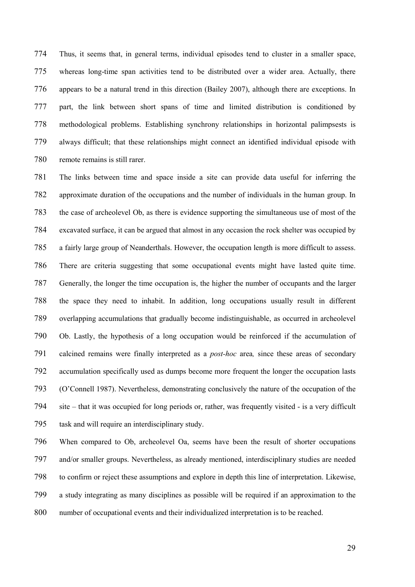Thus, it seems that, in general terms, individual episodes tend to cluster in a smaller space, whereas long-time span activities tend to be distributed over a wider area. Actually, there appears to be a natural trend in this direction (Bailey 2007), although there are exceptions. In part, the link between short spans of time and limited distribution is conditioned by methodological problems. Establishing synchrony relationships in horizontal palimpsests is always difficult; that these relationships might connect an identified individual episode with remote remains is still rarer.

The links between time and space inside a site can provide data useful for inferring the approximate duration of the occupations and the number of individuals in the human group. In the case of archeolevel Ob, as there is evidence supporting the simultaneous use of most of the excavated surface, it can be argued that almost in any occasion the rock shelter was occupied by a fairly large group of Neanderthals. However, the occupation length is more difficult to assess. There are criteria suggesting that some occupational events might have lasted quite time. Generally, the longer the time occupation is, the higher the number of occupants and the larger the space they need to inhabit. In addition, long occupations usually result in different overlapping accumulations that gradually become indistinguishable, as occurred in archeolevel Ob. Lastly, the hypothesis of a long occupation would be reinforced if the accumulation of calcined remains were finally interpreted as a post-hoc area, since these areas of secondary accumulation specifically used as dumps become more frequent the longer the occupation lasts (O'Connell 1987). Nevertheless, demonstrating conclusively the nature of the occupation of the site – that it was occupied for long periods or, rather, was frequently visited - is a very difficult task and will require an interdisciplinary study.

When compared to Ob, archeolevel Oa, seems have been the result of shorter occupations and/or smaller groups. Nevertheless, as already mentioned, interdisciplinary studies are needed to confirm or reject these assumptions and explore in depth this line of interpretation. Likewise, a study integrating as many disciplines as possible will be required if an approximation to the number of occupational events and their individualized interpretation is to be reached.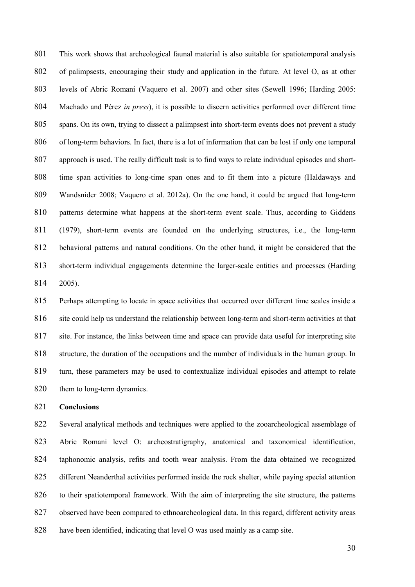This work shows that archeological faunal material is also suitable for spatiotemporal analysis of palimpsests, encouraging their study and application in the future. At level O, as at other levels of Abric Romaní (Vaquero et al. 2007) and other sites (Sewell 1996; Harding 2005: 804 Machado and Pérez in press), it is possible to discern activities performed over different time spans. On its own, trying to dissect a palimpsest into short-term events does not prevent a study of long-term behaviors. In fact, there is a lot of information that can be lost if only one temporal approach is used. The really difficult task is to find ways to relate individual episodes and short-time span activities to long-time span ones and to fit them into a picture (Haldaways and Wandsnider 2008; Vaquero et al. 2012a). On the one hand, it could be argued that long-term 810 patterns determine what happens at the short-term event scale. Thus, according to Giddens (1979), short-term events are founded on the underlying structures, i.e., the long-term behavioral patterns and natural conditions. On the other hand, it might be considered that the short-term individual engagements determine the larger-scale entities and processes (Harding 2005).

Perhaps attempting to locate in space activities that occurred over different time scales inside a site could help us understand the relationship between long-term and short-term activities at that site. For instance, the links between time and space can provide data useful for interpreting site structure, the duration of the occupations and the number of individuals in the human group. In turn, these parameters may be used to contextualize individual episodes and attempt to relate 820 them to long-term dynamics.

Conclusions

Several analytical methods and techniques were applied to the zooarcheological assemblage of Abric Romani level O: archeostratigraphy, anatomical and taxonomical identification, taphonomic analysis, refits and tooth wear analysis. From the data obtained we recognized different Neanderthal activities performed inside the rock shelter, while paying special attention to their spatiotemporal framework. With the aim of interpreting the site structure, the patterns observed have been compared to ethnoarcheological data. In this regard, different activity areas have been identified, indicating that level O was used mainly as a camp site.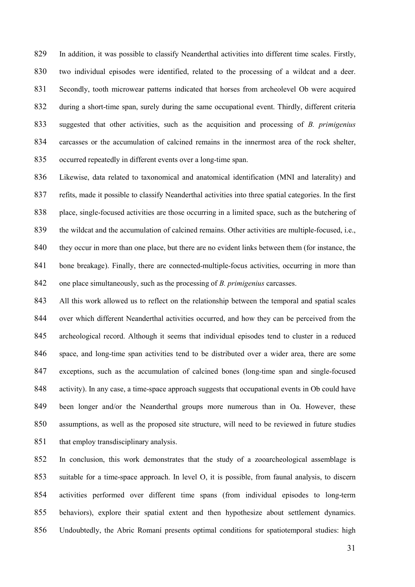In addition, it was possible to classify Neanderthal activities into different time scales. Firstly, two individual episodes were identified, related to the processing of a wildcat and a deer. Secondly, tooth microwear patterns indicated that horses from archeolevel Ob were acquired during a short-time span, surely during the same occupational event. Thirdly, different criteria 833 suggested that other activities, such as the acquisition and processing of B. primigenius carcasses or the accumulation of calcined remains in the innermost area of the rock shelter, occurred repeatedly in different events over a long-time span.

Likewise, data related to taxonomical and anatomical identification (MNI and laterality) and refits, made it possible to classify Neanderthal activities into three spatial categories. In the first place, single-focused activities are those occurring in a limited space, such as the butchering of the wildcat and the accumulation of calcined remains. Other activities are multiple-focused, i.e., 840 they occur in more than one place, but there are no evident links between them (for instance, the bone breakage). Finally, there are connected-multiple-focus activities, occurring in more than one place simultaneously, such as the processing of B. primigenius carcasses.

843 All this work allowed us to reflect on the relationship between the temporal and spatial scales over which different Neanderthal activities occurred, and how they can be perceived from the archeological record. Although it seems that individual episodes tend to cluster in a reduced space, and long-time span activities tend to be distributed over a wider area, there are some exceptions, such as the accumulation of calcined bones (long-time span and single-focused activity). In any case, a time-space approach suggests that occupational events in Ob could have been longer and/or the Neanderthal groups more numerous than in Oa. However, these assumptions, as well as the proposed site structure, will need to be reviewed in future studies 851 that employ transdisciplinary analysis.

In conclusion, this work demonstrates that the study of a zooarcheological assemblage is suitable for a time-space approach. In level O, it is possible, from faunal analysis, to discern activities performed over different time spans (from individual episodes to long-term behaviors), explore their spatial extent and then hypothesize about settlement dynamics. Undoubtedly, the Abric Romaní presents optimal conditions for spatiotemporal studies: high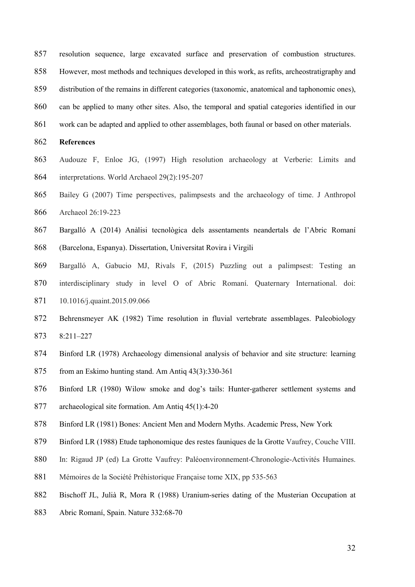- resolution sequence, large excavated surface and preservation of combustion structures.
- However, most methods and techniques developed in this work, as refits, archeostratigraphy and
- distribution of the remains in different categories (taxonomic, anatomical and taphonomic ones),

can be applied to many other sites. Also, the temporal and spatial categories identified in our

work can be adapted and applied to other assemblages, both faunal or based on other materials.

### References

- Audouze F, Enloe JG, (1997) High resolution archaeology at Verberie: Limits and interpretations. World Archaeol 29(2):195-207
- Bailey G (2007) Time perspectives, palimpsests and the archaeology of time. J Anthropol Archaeol 26:19-223
- Bargalló A (2014) Anàlisi tecnològica dels assentaments neandertals de l'Abric Romaní (Barcelona, Espanya). Dissertation, Universitat Rovira i Virgili
- Bargalló A, Gabucio MJ, Rivals F, (2015) Puzzling out a palimpsest: Testing an
- interdisciplinary study in level O of Abric Romaní. Quaternary International. doi: 10.1016/j.quaint.2015.09.066
- Behrensmeyer AK (1982) Time resolution in fluvial vertebrate assemblages. Paleobiology 8:211–227
- Binford LR (1978) Archaeology dimensional analysis of behavior and site structure: learning
- from an Eskimo hunting stand. Am Antiq 43(3):330-361
- Binford LR (1980) Wilow smoke and dog's tails: Hunter-gatherer settlement systems and
- archaeological site formation. Am Antiq 45(1):4-20
- Binford LR (1981) Bones: Ancient Men and Modern Myths. Academic Press, New York
- Binford LR (1988) Etude taphonomique des restes fauniques de la Grotte Vaufrey, Couche VIII.
- In: Rigaud JP (ed) La Grotte Vaufrey: Paléoenvironnement-Chronologie-Activités Humaines.
- 881 Mémoires de la Société Préhistorique Française tome XIX, pp 535-563
- Bischoff JL, Julià R, Mora R (1988) Uranium-series dating of the Musterian Occupation at
- Abric Romaní, Spain. Nature 332:68-70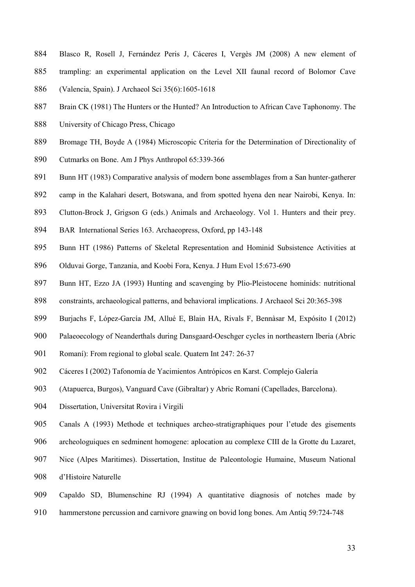- Blasco R, Rosell J, Fernández Peris J, Cáceres I, Vergès JM (2008) A new element of trampling: an experimental application on the Level XII faunal record of Bolomor Cave (Valencia, Spain). J Archaeol Sci 35(6):1605-1618
- 887 Brain CK (1981) The Hunters or the Hunted? An Introduction to African Cave Taphonomy. The
- University of Chicago Press, Chicago
- Bromage TH, Boyde A (1984) Microscopic Criteria for the Determination of Directionality of
- Cutmarks on Bone. Am J Phys Anthropol 65:339-366
- 891 Bunn HT (1983) Comparative analysis of modern bone assemblages from a San hunter-gatherer
- camp in the Kalahari desert, Botswana, and from spotted hyena den near Nairobi, Kenya. In:
- Clutton-Brock J, Grigson G (eds.) Animals and Archaeology. Vol 1. Hunters and their prey.
- BAR International Series 163. Archaeopress, Oxford, pp 143-148
- Bunn HT (1986) Patterns of Skeletal Representation and Hominid Subsistence Activities at
- Olduvai Gorge, Tanzania, and Koobi Fora, Kenya. J Hum Evol 15:673-690
- Bunn HT, Ezzo JA (1993) Hunting and scavenging by Plio-Pleistocene hominids: nutritional
- constraints, archaeological patterns, and behavioral implications. J Archaeol Sci 20:365-398
- Burjachs F, López-García JM, Allué E, Blain HA, Rivals F, Bennàsar M, Expósito I (2012)
- Palaeoecology of Neanderthals during Dansgaard-Oeschger cycles in northeastern Iberia (Abric
- 901 Romaní): From regional to global scale. Quatern Int 247: 26-37
- Cáceres I (2002) Tafonomía de Yacimientos Antrópicos en Karst. Complejo Galería
- (Atapuerca, Burgos), Vanguard Cave (Gibraltar) y Abric Romaní (Capellades, Barcelona).
- Dissertation, Universitat Rovira i Virgili
- Canals A (1993) Methode et techniques archeo-stratigraphiques pour l'etude des gisements
- archeologuiques en sedminent homogene: aplocation au complexe CIII de la Grotte du Lazaret,
- Nice (Alpes Maritimes). Dissertation, Institue de Paleontologie Humaine, Museum National
- d'Histoire Naturelle
- Capaldo SD, Blumenschine RJ (1994) A quantitative diagnosis of notches made by
- hammerstone percussion and carnivore gnawing on bovid long bones. Am Antiq 59:724-748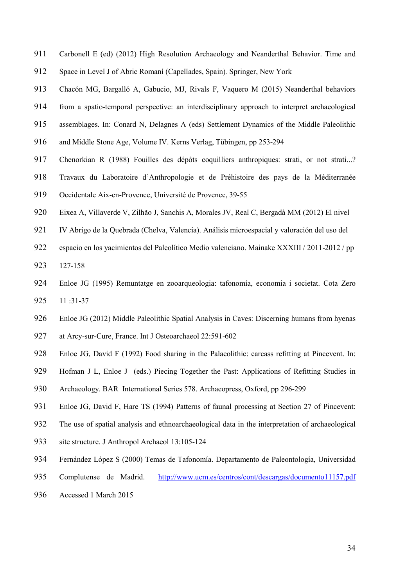- Carbonell E (ed) (2012) High Resolution Archaeology and Neanderthal Behavior. Time and Space in Level J of Abric Romaní (Capellades, Spain). Springer, New York
- Chacón MG, Bargalló A, Gabucio, MJ, Rivals F, Vaquero M (2015) Neanderthal behaviors
- from a spatio-temporal perspective: an interdisciplinary approach to interpret archaeological
- assemblages. In: Conard N, Delagnes A (eds) Settlement Dynamics of the Middle Paleolithic
- and Middle Stone Age, Volume IV. Kerns Verlag, Tübingen, pp 253-294
- Chenorkian R (1988) Fouilles des dépôts coquilliers anthropiques: strati, or not strati...?
- Travaux du Laboratoire d'Anthropologie et de Préhistoire des pays de la Méditerranée
- Occidentale Aix-en-Provence, Université de Provence, 39-55
- Eixea A, Villaverde V, Zilhão J, Sanchis A, Morales JV, Real C, Bergadà MM (2012) El nivel
- IV Abrigo de la Quebrada (Chelva, Valencia). Análisis microespacial y valoración del uso del
- espacio en los yacimientos del Paleolítico Medio valenciano. Mainake XXXIII / 2011-2012 / pp
- 127-158
- Enloe JG (1995) Remuntatge en zooarqueologia: tafonomía, economia i societat. Cota Zero 11 :31-37
- Enloe JG (2012) Middle Paleolithic Spatial Analysis in Caves: Discerning humans from hyenas
- at Arcy-sur-Cure, France. Int J Osteoarchaeol 22:591-602
- Enloe JG, David F (1992) Food sharing in the Palaeolithic: carcass refitting at Pincevent. In:
- 929 Hofman J L, Enloe J (eds.) Piecing Together the Past: Applications of Refitting Studies in
- Archaeology. BAR International Series 578. Archaeopress, Oxford, pp 296-299
- Enloe JG, David F, Hare TS (1994) Patterns of faunal processing at Section 27 of Pincevent:
- The use of spatial analysis and ethnoarchaeological data in the interpretation of archaeological
- site structure. J Anthropol Archaeol 13:105-124
- Fernández López S (2000) Temas de Tafonomía. Departamento de Paleontología, Universidad
- Complutense de Madrid. http://www.ucm.es/centros/cont/descargas/documento11157.pdf
- Accessed 1 March 2015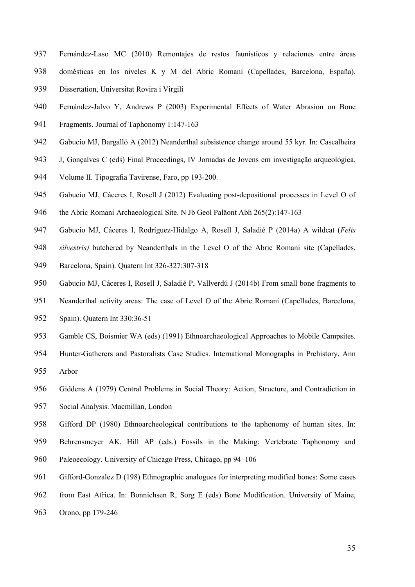- Fernández-Laso MC (2010) Remontajes de restos faunísticos y relaciones entre áreas domésticas en los niveles K y M del Abric Romaní (Capellades, Barcelona, España).
- Dissertation, Universitat Rovira i Virgili
- Fernández-Jalvo Y, Andrews P (2003) Experimental Effects of Water Abrasion on Bone
- Fragments. Journal of Taphonomy 1:147-163
- Gabucio MJ, Bargalló A (2012) Neanderthal subsistence change around 55 kyr. In: Cascalheira
- J, Gonçalves C (eds) Final Proceedings, IV Jornadas de Jovens em investigação arqueológica.
- Volume II. Tipografia Tavirense, Faro, pp 193-200.
- Gabucio MJ, Cáceres I, Rosell J (2012) Evaluating post-depositional processes in Level O of
- the Abric Romaní Archaeological Site. N Jb Geol Paläont Abh 265(2):147-163
- 947 Gabucio MJ, Cáceres I, Rodríguez-Hidalgo A, Rosell J, Saladié P (2014a) A wildcat (Felis
- 948 silvestris) butchered by Neanderthals in the Level O of the Abric Romaní site (Capellades,
- Barcelona, Spain). Quatern Int 326-327:307-318
- Gabucio MJ, Cáceres I, Rosell J, Saladié P, Vallverdú J (2014b) From small bone fragments to
- Neanderthal activity areas: The case of Level O of the Abric Romaní (Capellades, Barcelona,
- Spain). Quatern Int 330:36-51
- Gamble CS, Boismier WA (eds) (1991) Ethnoarchaeological Approaches to Mobile Campsites.
- Hunter-Gatherers and Pastoralists Case Studies. International Monographs in Prehistory, Ann Arbor
- Giddens A (1979) Central Problems in Social Theory: Action, Structure, and Contradiction in
- Social Analysis. Macmillan, London
- Gifford DP (1980) Ethnoarcheological contributions to the taphonomy of human sites. In:
- Behrensmeyer AK, Hill AP (eds.) Fossils in the Making: Vertebrate Taphonomy and
- Paleoecology. University of Chicago Press, Chicago, pp 94–106
- Gifford-Gonzalez D (198) Ethnographic analogues for interpreting modified bones: Some cases
- from East Africa. In: Bonnichsen R, Sorg E (eds) Bone Modification. University of Maine,
- Orono, pp 179-246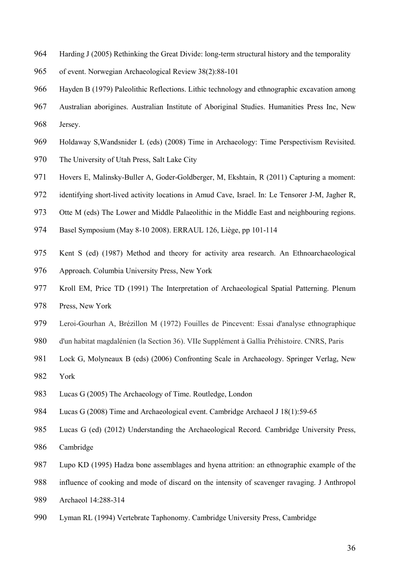- Harding J (2005) Rethinking the Great Divide: long-term structural history and the temporality
- of event. Norwegian Archaeological Review 38(2):88-101
- Hayden B (1979) Paleolithic Reflections. Lithic technology and ethnographic excavation among
- Australian aborigines. Australian Institute of Aboriginal Studies. Humanities Press Inc, New Jersey.
- Holdaway S,Wandsnider L (eds) (2008) Time in Archaeology: Time Perspectivism Revisited.
- The University of Utah Press, Salt Lake City
- Hovers E, Malinsky-Buller A, Goder-Goldberger, M, Ekshtain, R (2011) Capturing a moment:
- identifying short-lived activity locations in Amud Cave, Israel. In: Le Tensorer J-M, Jagher R,
- Otte M (eds) The Lower and Middle Palaeolithic in the Middle East and neighbouring regions.
- Basel Symposium (May 8-10 2008). ERRAUL 126, Liège, pp 101-114
- Kent S (ed) (1987) Method and theory for activity area research. An Ethnoarchaeological
- Approach. Columbia University Press, New York
- Kroll EM, Price TD (1991) The Interpretation of Archaeological Spatial Patterning. Plenum
- Press, New York
- Leroi-Gourhan A, Brézillon M (1972) Fouilles de Pincevent: Essai d'analyse ethnographique
- d'un habitat magdalénien (la Section 36). VIIe Supplément à Gallia Préhistoire. CNRS, Paris
- Lock G, Molyneaux B (eds) (2006) Confronting Scale in Archaeology. Springer Verlag, New
- York
- Lucas G (2005) The Archaeology of Time. Routledge, London
- Lucas G (2008) Time and Archaeological event. Cambridge Archaeol J 18(1):59-65
- Lucas G (ed) (2012) Understanding the Archaeological Record. Cambridge University Press,
- Cambridge
- Lupo KD (1995) Hadza bone assemblages and hyena attrition: an ethnographic example of the
- influence of cooking and mode of discard on the intensity of scavenger ravaging. J Anthropol Archaeol 14:288-314
- Lyman RL (1994) Vertebrate Taphonomy. Cambridge University Press, Cambridge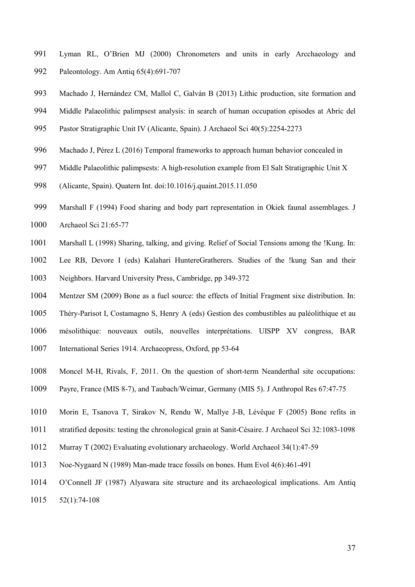- Lyman RL, O'Brien MJ (2000) Chronometers and units in early Arcchaeology and Paleontology. Am Antiq 65(4):691-707
- Machado J, Hernández CM, Mallol C, Galván B (2013) Lithic production, site formation and
- Middle Palaeolithic palimpsest analysis: in search of human occupation episodes at Abric del
- Pastor Stratigraphic Unit IV (Alicante, Spain). J Archaeol Sci 40(5):2254-2273
- Machado J, Pérez L (2016) Temporal frameworks to approach human behavior concealed in
- Middle Palaeolithic palimpsests: A high-resolution example from El Salt Stratigraphic Unit X
- (Alicante, Spain). Quatern Int. doi:10.1016/j.quaint.2015.11.050
- Marshall F (1994) Food sharing and body part representation in Okiek faunal assemblages. J
- Archaeol Sci 21:65-77
- Marshall L (1998) Sharing, talking, and giving. Relief of Social Tensions among the !Kung. In:
- Lee RB, Devore I (eds) Kalahari HuntereGratherers. Studies of the !kung San and their
- Neighbors. Harvard University Press, Cambridge, pp 349-372
- Mentzer SM (2009) Bone as a fuel source: the effects of Initial Fragment sixe distribution. In:
- Théry-Parisot I, Costamagno S, Henry A (eds) Gestion des combustibles au paléolithique et au
- mésolithique: nouveaux outils, nouvelles interprétations. UISPP XV congress, BAR
- International Series 1914. Archaeopress, Oxford, pp 53-64
- Moncel M-H, Rivals, F, 2011. On the question of short-term Neanderthal site occupations:
- Payre, France (MIS 8-7), and Taubach/Weimar, Germany (MIS 5). J Anthropol Res 67:47-75
- Morin E, Tsanova T, Sirakov N, Rendu W, Mallye J-B, Lévêque F (2005) Bone refits in
- stratified deposits: testing the chronological grain at Sanit-Césaire. J Archaeol Sci 32:1083-1098
- Murray T (2002) Evaluating evolutionary archaeology. World Archaeol 34(1):47-59
- Noe-Nygaard N (1989) Man-made trace fossils on bones. Hum Evol 4(6):461-491
- O'Connell JF (1987) Alyawara site structure and its archaeological implications. Am Antiq
- 52(1):74-108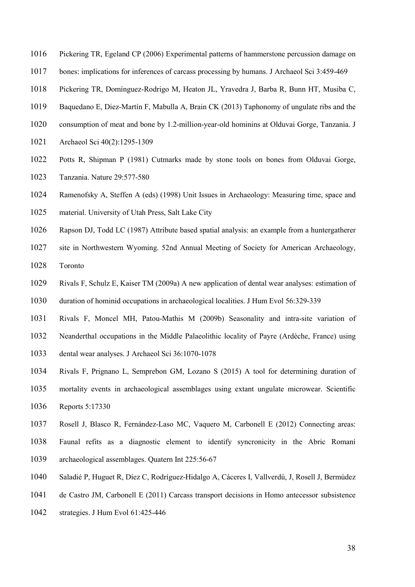- Pickering TR, Egeland CP (2006) Experimental patterns of hammerstone percussion damage on
- bones: implications for inferences of carcass processing by humans. J Archaeol Sci 3:459-469
- Pickering TR, Domínguez-Rodrigo M, Heaton JL, Yravedra J, Barba R, Bunn HT, Musiba C,
- Baquedano E, Diez-Martín F, Mabulla A, Brain CK (2013) Taphonomy of ungulate ribs and the
- consumption of meat and bone by 1.2-million-year-old hominins at Olduvai Gorge, Tanzania. J
- Archaeol Sci 40(2):1295-1309
- Potts R, Shipman P (1981) Cutmarks made by stone tools on bones from Olduvai Gorge,
- Tanzania. Nature 29:577-580
- Ramenofsky A, Steffen A (eds) (1998) Unit Issues in Archaeology: Measuring time, space and
- material. University of Utah Press, Salt Lake City
- Rapson DJ, Todd LC (1987) Attribute based spatial analysis: an example from a huntergatherer
- site in Northwestern Wyoming. 52nd Annual Meeting of Society for American Archaeology,
- Toronto
- Rivals F, Schulz E, Kaiser TM (2009a) A new application of dental wear analyses: estimation of
- duration of hominid occupations in archaeological localities. J Hum Evol 56:329-339
- Rivals F, Moncel MH, Patou-Mathis M (2009b) Seasonality and intra-site variation of
- Neanderthal occupations in the Middle Palaeolithic locality of Payre (Ardèche, France) using
- dental wear analyses. J Archaeol Sci 36:1070-1078
- Rivals F, Prignano L, Semprebon GM, Lozano S (2015) A tool for determining duration of
- mortality events in archaeological assemblages using extant ungulate microwear. Scientific
- Reports 5:17330
- Rosell J, Blasco R, Fernández-Laso MC, Vaquero M, Carbonell E (2012) Connecting areas:
- Faunal refits as a diagnostic element to identify syncronicity in the Abric Romaní
- archaeological assemblages. Quatern Int 225:56-67
- Saladié P, Huguet R, Díez C, Rodríguez-Hidalgo A, Cáceres I, Vallverdú, J, Rosell J, Bermúdez
- de Castro JM, Carbonell E (2011) Carcass transport decisions in Homo antecessor subsistence
- strategies. J Hum Evol 61:425-446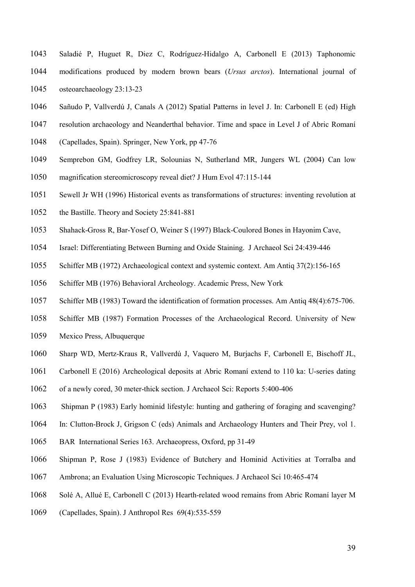- Saladié P, Huguet R, Diez C, Rodríguez-Hidalgo A, Carbonell E (2013) Taphonomic modifications produced by modern brown bears (Ursus arctos). International journal of osteoarchaeology 23:13-23
- Sañudo P, Vallverdú J, Canals A (2012) Spatial Patterns in level J. In: Carbonell E (ed) High
- resolution archaeology and Neanderthal behavior. Time and space in Level J of Abric Romaní
- (Capellades, Spain). Springer, New York, pp 47-76
- Semprebon GM, Godfrey LR, Solounias N, Sutherland MR, Jungers WL (2004) Can low
- magnification stereomicroscopy reveal diet? J Hum Evol 47:115-144
- Sewell Jr WH (1996) Historical events as transformations of structures: inventing revolution at
- the Bastille. Theory and Society 25:841-881
- Shahack-Gross R, Bar-Yosef O, Weiner S (1997) Black-Coulored Bones in Hayonim Cave,
- Israel: Differentiating Between Burning and Oxide Staining. J Archaeol Sci 24:439-446
- Schiffer MB (1972) Archaeological context and systemic context. Am Antiq 37(2):156-165
- Schiffer MB (1976) Behavioral Archeology. Academic Press, New York
- Schiffer MB (1983) Toward the identification of formation processes. Am Antiq 48(4):675-706.
- Schiffer MB (1987) Formation Processes of the Archaeological Record. University of New
- Mexico Press, Albuquerque
- Sharp WD, Mertz-Kraus R, Vallverdú J, Vaquero M, Burjachs F, Carbonell E, Bischoff JL,
- Carbonell E (2016) Archeological deposits at Abric Romaní extend to 110 ka: U-series dating
- of a newly cored, 30 meter-thick section. J Archaeol Sci: Reports 5:400-406
- Shipman P (1983) Early hominid lifestyle: hunting and gathering of foraging and scavenging?
- In: Clutton-Brock J, Grigson C (eds) Animals and Archaeology Hunters and Their Prey, vol 1.
- BAR International Series 163. Archaeopress, Oxford, pp 31-49
- Shipman P, Rose J (1983) Evidence of Butchery and Hominid Activities at Torralba and
- Ambrona; an Evaluation Using Microscopic Techniques. J Archaeol Sci 10:465-474
- Solé A, Allué E, Carbonell C (2013) Hearth-related wood remains from Abric Romaní layer M
- (Capellades, Spain). J Anthropol Res 69(4):535-559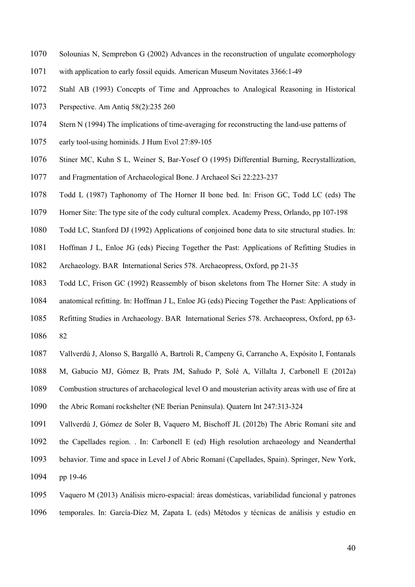- Solounias N, Semprebon G (2002) Advances in the reconstruction of ungulate ecomorphology
- with application to early fossil equids. American Museum Novitates 3366:1-49
- Stahl AB (1993) Concepts of Time and Approaches to Analogical Reasoning in Historical
- Perspective. Am Antiq 58(2):235 260
- Stern N (1994) The implications of time-averaging for reconstructing the land-use patterns of
- early tool-using hominids. J Hum Evol 27:89-105
- Stiner MC, Kuhn S L, Weiner S, Bar-Yosef O (1995) Differential Burning, Recrystallization,
- and Fragmentation of Archaeological Bone. J Archaeol Sci 22:223-237
- Todd L (1987) Taphonomy of The Horner II bone bed. In: Frison GC, Todd LC (eds) The
- Horner Site: The type site of the cody cultural complex. Academy Press, Orlando, pp 107-198
- Todd LC, Stanford DJ (1992) Applications of conjoined bone data to site structural studies. In:
- Hoffman J L, Enloe JG (eds) Piecing Together the Past: Applications of Refitting Studies in
- Archaeology. BAR International Series 578. Archaeopress, Oxford, pp 21-35
- Todd LC, Frison GC (1992) Reassembly of bison skeletons from The Horner Site: A study in
- anatomical refitting. In: Hoffman J L, Enloe JG (eds) Piecing Together the Past: Applications of
- Refitting Studies in Archaeology. BAR International Series 578. Archaeopress, Oxford, pp 63-
- 82
- Vallverdú J, Alonso S, Bargalló A, Bartroli R, Campeny G, Carrancho A, Expósito I, Fontanals
- M, Gabucio MJ, Gómez B, Prats JM, Sañudo P, Solé A, Villalta J, Carbonell E (2012a)
- Combustion structures of archaeological level O and mousterian activity areas with use of fire at
- the Abric Romaní rockshelter (NE Iberian Peninsula). Quatern Int 247:313-324
- Vallverdú J, Gómez de Soler B, Vaquero M, Bischoff JL (2012b) The Abric Romaní site and
- the Capellades region. . In: Carbonell E (ed) High resolution archaeology and Neanderthal
- behavior. Time and space in Level J of Abric Romaní (Capellades, Spain). Springer, New York,
- pp 19-46
- Vaquero M (2013) Análisis micro-espacial: áreas domésticas, variabilidad funcional y patrones temporales. In: García-Díez M, Zapata L (eds) Métodos y técnicas de análisis y estudio en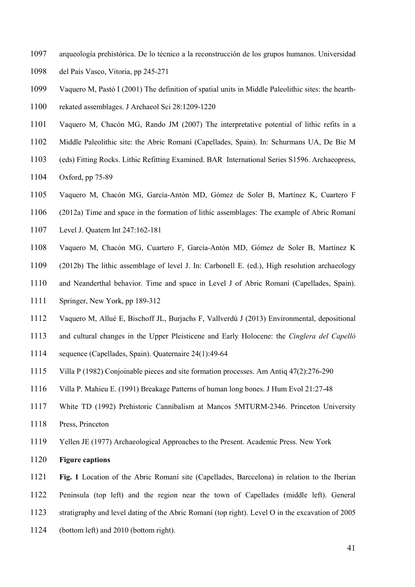- arqueología prehistórica. De lo técnico a la reconstrucción de los grupos humanos. Universidad del País Vasco, Vitoria, pp 245-271
- Vaquero M, Pastó I (2001) The definition of spatial units in Middle Paleolithic sites: the hearth-

rekated assemblages. J Archaeol Sci 28:1209-1220

- Vaquero M, Chacón MG, Rando JM (2007) The interpretative potential of lithic refits in a
- Middle Paleolithic site: the Abric Romaní (Capellades, Spain). In: Schurmans UA, De Bie M
- (eds) Fitting Rocks. Lithic Refitting Examined. BAR International Series S1596. Archaeopress,
- Oxford, pp 75-89
- Vaquero M, Chacón MG, García-Antón MD, Gómez de Soler B, Martínez K, Cuartero F
- (2012a) Time and space in the formation of lithic assemblages: The example of Abric Romaní
- Level J. Quatern Int 247:162-181
- Vaquero M, Chacón MG, Cuartero F, García-Antón MD, Gómez de Soler B, Martínez K
- (2012b) The lithic assemblage of level J. In: Carbonell E. (ed.), High resolution archaeology
- and Neanderthal behavior. Time and space in Level J of Abric Romaní (Capellades, Spain).
- Springer, New York, pp 189-312
- Vaquero M, Allué E, Bischoff JL, Burjachs F, Vallverdú J (2013) Environmental, depositional
- and cultural changes in the Upper Pleisticene and Early Holocene: the Cinglera del Capelló
- sequence (Capellades, Spain). Quaternaire 24(1):49-64
- Villa P (1982) Conjoinable pieces and site formation processes. Am Antiq 47(2):276-290
- Villa P. Mahieu E. (1991) Breakage Patterns of human long bones. J Hum Evol 21:27-48
- White TD (1992) Prehistoric Cannibalism at Mancos 5MTURM-2346. Princeton University Press, Princeton
- Yellen JE (1977) Archaeological Approaches to the Present. Academic Press. New York
- Figure captions
- Fig. 1 Location of the Abric Romaní site (Capellades, Barccelona) in relation to the Iberian Peninsula (top left) and the region near the town of Capellades (middle left). General
- 
- stratigraphy and level dating of the Abric Romaní (top right). Level O in the excavation of 2005
- (bottom left) and 2010 (bottom right).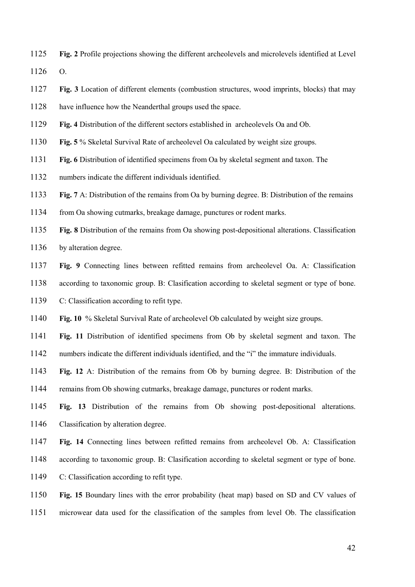Fig. 2 Profile projections showing the different archeolevels and microlevels identified at Level O.

- Fig. 3 Location of different elements (combustion structures, wood imprints, blocks) that may
- have influence how the Neanderthal groups used the space.
- Fig. 4 Distribution of the different sectors established in archeolevels Oa and Ob.
- Fig. 5 % Skeletal Survival Rate of archeolevel Oa calculated by weight size groups.
- Fig. 6 Distribution of identified specimens from Oa by skeletal segment and taxon. The
- numbers indicate the different individuals identified.
- Fig. 7 A: Distribution of the remains from Oa by burning degree. B: Distribution of the remains
- from Oa showing cutmarks, breakage damage, punctures or rodent marks.
- Fig. 8 Distribution of the remains from Oa showing post-depositional alterations. Classification
- 1136 by alteration degree.
- Fig. 9 Connecting lines between refitted remains from archeolevel Oa. A: Classification
- according to taxonomic group. B: Clasification according to skeletal segment or type of bone.
- C: Classification according to refit type.
- Fig. 10 % Skeletal Survival Rate of archeolevel Ob calculated by weight size groups.
- Fig. 11 Distribution of identified specimens from Ob by skeletal segment and taxon. The
- numbers indicate the different individuals identified, and the "i" the immature individuals.
- Fig. 12 A: Distribution of the remains from Ob by burning degree. B: Distribution of the
- remains from Ob showing cutmarks, breakage damage, punctures or rodent marks.
- Fig. 13 Distribution of the remains from Ob showing post-depositional alterations. Classification by alteration degree.
- Fig. 14 Connecting lines between refitted remains from archeolevel Ob. A: Classification
- according to taxonomic group. B: Clasification according to skeletal segment or type of bone.
- C: Classification according to refit type.
- Fig. 15 Boundary lines with the error probability (heat map) based on SD and CV values of microwear data used for the classification of the samples from level Ob. The classification